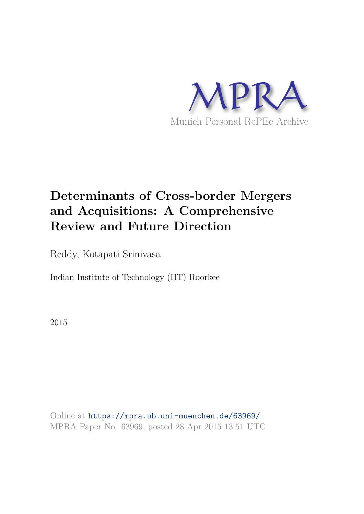

# **Determinants of Cross-border Mergers and Acquisitions: A Comprehensive Review and Future Direction**

Reddy, Kotapati Srinivasa

Indian Institute of Technology (IIT) Roorkee

2015

Online at https://mpra.ub.uni-muenchen.de/63969/ MPRA Paper No. 63969, posted 28 Apr 2015 13:51 UTC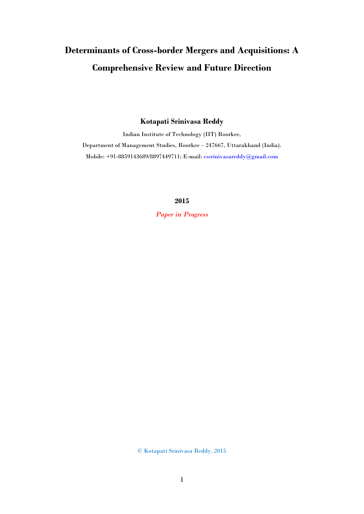## **Determinants of Cross-border Mergers and Acquisitions: A Comprehensive Review and Future Direction**

## **Kotapati Srinivasa Reddy**

Indian Institute of Technology (IIT) Roorkee, Department of Management Studies, Roorkee – 247667, Uttarakhand (India). Mobile: +91-8859143689/8897449711; E-mail: [cssrinivasareddy@gmail.com](mailto:cssrinivasareddy@gmail.com)

**2015** 

*Paper in Progress* 

© Kotapati Srinivasa Reddy, 2015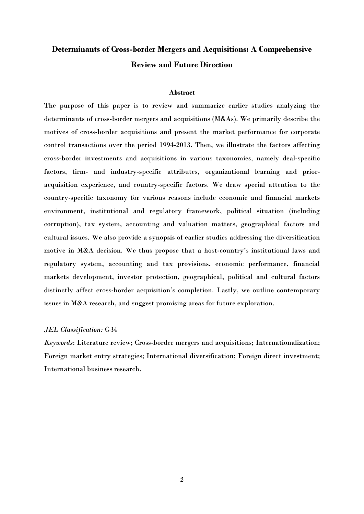## **Determinants of Cross-border Mergers and Acquisitions: A Comprehensive Review and Future Direction**

## **Abstract**

The purpose of this paper is to review and summarize earlier studies analyzing the determinants of cross-border mergers and acquisitions (M&As). We primarily describe the motives of cross-border acquisitions and present the market performance for corporate control transactions over the period 1994-2013. Then, we illustrate the factors affecting cross-border investments and acquisitions in various taxonomies, namely deal-specific factors, firm- and industry-specific attributes, organizational learning and prioracquisition experience, and country-specific factors. We draw special attention to the country-specific taxonomy for various reasons include economic and financial markets environment, institutional and regulatory framework, political situation (including corruption), tax system, accounting and valuation matters, geographical factors and cultural issues. We also provide a synopsis of earlier studies addressing the diversification motive in M&A decision. We thus propose that a host-country's institutional laws and regulatory system, accounting and tax provisions, economic performance, financial markets development, investor protection, geographical, political and cultural factors distinctly affect cross-border acquisition's completion. Lastly, we outline contemporary issues in M&A research, and suggest promising areas for future exploration.

### *JEL Classification:* G34

*Keywords*: Literature review; Cross-border mergers and acquisitions; Internationalization; Foreign market entry strategies; International diversification; Foreign direct investment; International business research.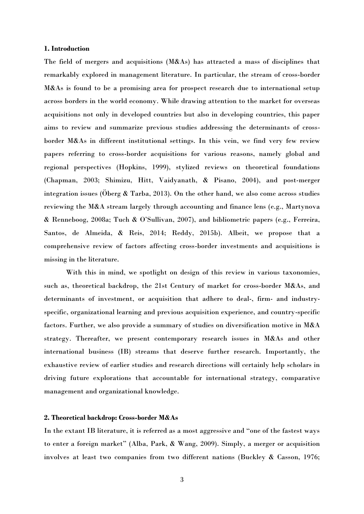## **1. Introduction**

The field of mergers and acquisitions (M&As) has attracted a mass of disciplines that remarkably explored in management literature. In particular, the stream of cross-border M&As is found to be a promising area for prospect research due to international setup across borders in the world economy. While drawing attention to the market for overseas acquisitions not only in developed countries but also in developing countries, this paper aims to review and summarize previous studies addressing the determinants of crossborder M&As in different institutional settings. In this vein, we find very few review papers referring to cross-border acquisitions for various reasons, namely global and regional perspectives (Hopkins, 1999), stylized reviews on theoretical foundations (Chapman, 2003; Shimizu, Hitt, Vaidyanath, & Pisano, 2004), and post-merger integration issues (Öberg & Tarba, 2013). On the other hand, we also come across studies reviewing the M&A stream largely through accounting and finance lens (e.g., Martynova & Renneboog, 2008a; Tuch & O'Sullivan, 2007), and bibliometric papers (e.g., Ferreira, Santos, de Almeida, & Reis, 2014; Reddy, 2015b). Albeit, we propose that a comprehensive review of factors affecting cross-border investments and acquisitions is missing in the literature.

With this in mind, we spotlight on design of this review in various taxonomies, such as, theoretical backdrop, the 21st Century of market for cross-border M&As, and determinants of investment, or acquisition that adhere to deal-, firm- and industryspecific, organizational learning and previous acquisition experience, and country-specific factors. Further, we also provide a summary of studies on diversification motive in M&A strategy. Thereafter, we present contemporary research issues in M&As and other international business (IB) streams that deserve further research. Importantly, the exhaustive review of earlier studies and research directions will certainly help scholars in driving future explorations that accountable for international strategy, comparative management and organizational knowledge.

## **2. Theoretical backdrop: Cross-border M&As**

In the extant IB literature, it is referred as a most aggressive and "one of the fastest ways to enter a foreign market" (Alba, Park, & Wang, 2009). Simply, a merger or acquisition involves at least two companies from two different nations (Buckley & Casson, 1976;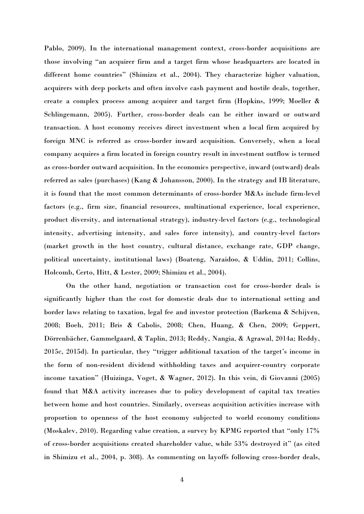Pablo, 2009). In the international management context, cross-border acquisitions are those involving "an acquirer firm and a target firm whose headquarters are located in different home countries" (Shimizu et al., 2004). They characterize higher valuation, acquirers with deep pockets and often involve cash payment and hostile deals, together, create a complex process among acquirer and target firm (Hopkins, 1999; Moeller & Schlingemann, 2005). Further, cross-border deals can be either inward or outward transaction. A host economy receives direct investment when a local firm acquired by foreign MNC is referred as cross-border inward acquisition. Conversely, when a local company acquires a firm located in foreign country result in investment outflow is termed as cross-border outward acquisition. In the economics perspective, inward (outward) deals referred as sales (purchases) (Kang & Johansson, 2000). In the strategy and IB literature, it is found that the most common determinants of cross-border M&As include firm-level factors (e.g., firm size, financial resources, multinational experience, local experience, product diversity, and international strategy), industry-level factors (e.g., technological intensity, advertising intensity, and sales force intensity), and country-level factors (market growth in the host country, cultural distance, exchange rate, GDP change, political uncertainty, institutional laws) (Boateng, Naraidoo, & Uddin, 2011; Collins, Holcomb, Certo, Hitt, & Lester, 2009; Shimizu et al., 2004).

On the other hand, negotiation or transaction cost for cross-border deals is significantly higher than the cost for domestic deals due to international setting and border laws relating to taxation, legal fee and investor protection (Barkema & Schijven, 2008; Boeh, 2011; Bris & Cabolis, 2008; Chen, Huang, & Chen, 2009; Geppert, Dörrenbächer, Gammelgaard, & Taplin, 2013; Reddy, Nangia, & Agrawal, 2014a; Reddy, 2015c, 2015d). In particular, they "trigger additional taxation of the target's income in the form of non-resident dividend withholding taxes and acquirer-country corporate income taxation" (Huizinga, Voget, & Wagner, 2012). In this vein, di Giovanni (2005) found that M&A activity increases due to policy development of capital tax treaties between home and host countries. Similarly, overseas acquisition activities increase with proportion to openness of the host economy subjected to world economy conditions (Moskalev, 2010). Regarding value creation, a survey by KPMG reported that "only 17% of cross-border acquisitions created shareholder value, while 53% destroyed it" (as cited in Shimizu et al., 2004, p. 308). As commenting on layoffs following cross-border deals,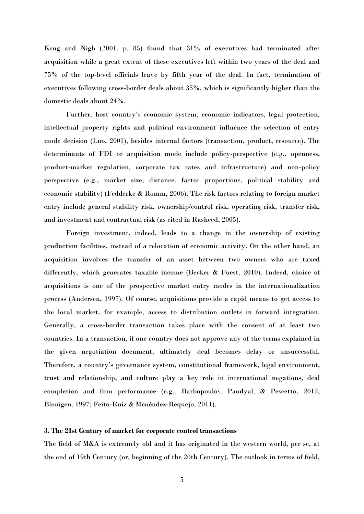Krug and Nigh (2001, p. 85) found that 31% of executives had terminated after acquisition while a great extent of these executives left within two years of the deal and 75% of the top-level officials leave by fifth year of the deal. In fact, termination of executives following cross-border deals about 35%, which is significantly higher than the domestic deals about 24%.

Further, host country's economic system, economic indicators, legal protection, intellectual property rights and political environment influence the selection of entry mode decision (Luo, 2001), besides internal factors (transaction, product, resource). The determinants of FDI or acquisition mode include policy-perspective (e.g., openness, product-market regulation, corporate tax rates and infrastructure) and non-policy perspective (e.g., market size, distance, factor proportions, political stability and economic stability) (Fedderke & Romm, 2006). The risk factors relating to foreign market entry include general stability risk, ownership/control risk, operating risk, transfer risk, and investment and contractual risk (as cited in Rasheed, 2005).

Foreign investment, indeed, leads to a change in the ownership of existing production facilities, instead of a relocation of economic activity. On the other hand, an acquisition involves the transfer of an asset between two owners who are taxed differently, which generates taxable income (Becker & Fuest, 2010). Indeed, choice of acquisitions is one of the prospective market entry modes in the internationalization process (Andersen, 1997). Of course, acquisitions provide a rapid means to get access to the local market, for example, access to distribution outlets in forward integration. Generally, a cross-border transaction takes place with the consent of at least two countries. In a transaction, if one country does not approve any of the terms explained in the given negotiation document, ultimately deal becomes delay or unsuccessful. Therefore, a country's governance system, constitutional framework, legal environment, trust and relationship, and culture play a key role in international negations, deal completion and firm performance (e.g., Barbopoulos, Paudyal, & Pescetto, 2012; Blonigen, 1997; Feito-Ruiz & Menéndez-Requejo, 2011).

## **3. The 21st Century of market for corporate control transactions**

The field of M&A is extremely old and it has originated in the western world, per se, at the end of 19th Century (or, beginning of the 20th Century). The outlook in terms of field,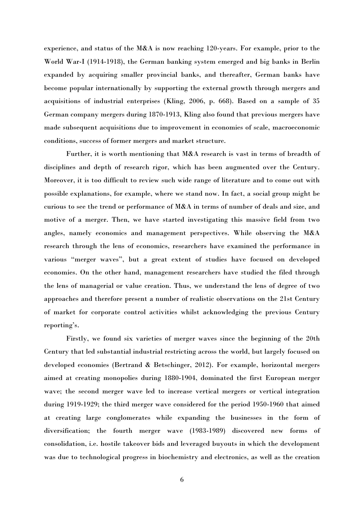experience, and status of the M&A is now reaching 120-years. For example, prior to the World War-I (1914-1918), the German banking system emerged and big banks in Berlin expanded by acquiring smaller provincial banks, and thereafter, German banks have become popular internationally by supporting the external growth through mergers and acquisitions of industrial enterprises (Kling, 2006, p. 668). Based on a sample of 35 German company mergers during 1870-1913, Kling also found that previous mergers have made subsequent acquisitions due to improvement in economies of scale, macroeconomic conditions, success of former mergers and market structure.

Further, it is worth mentioning that M&A research is vast in terms of breadth of disciplines and depth of research rigor, which has been augmented over the Century. Moreover, it is too difficult to review such wide range of literature and to come out with possible explanations, for example, where we stand now. In fact, a social group might be curious to see the trend or performance of M&A in terms of number of deals and size, and motive of a merger. Then, we have started investigating this massive field from two angles, namely economics and management perspectives. While observing the M&A research through the lens of economics, researchers have examined the performance in various "merger waves", but a great extent of studies have focused on developed economies. On the other hand, management researchers have studied the filed through the lens of managerial or value creation. Thus, we understand the lens of degree of two approaches and therefore present a number of realistic observations on the 21st Century of market for corporate control activities whilst acknowledging the previous Century reporting's.

Firstly, we found six varieties of merger waves since the beginning of the 20th Century that led substantial industrial restricting across the world, but largely focused on developed economies (Bertrand & Betschinger, 2012). For example, horizontal mergers aimed at creating monopolies during 1880-1904, dominated the first European merger wave; the second merger wave led to increase vertical mergers or vertical integration during 1919-1929; the third merger wave considered for the period 1950-1960 that aimed at creating large conglomerates while expanding the businesses in the form of diversification; the fourth merger wave (1983-1989) discovered new forms of consolidation, i.e. hostile takeover bids and leveraged buyouts in which the development was due to technological progress in biochemistry and electronics, as well as the creation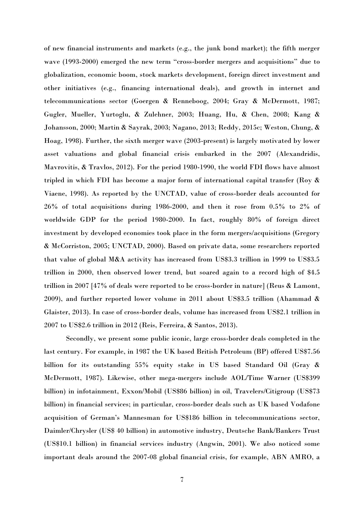of new financial instruments and markets (e.g., the junk bond market); the fifth merger wave (1993-2000) emerged the new term "cross-border mergers and acquisitions" due to globalization, economic boom, stock markets development, foreign direct investment and other initiatives (e.g., financing international deals), and growth in internet and telecommunications sector (Goergen & Renneboog, 2004; Gray & McDermott, 1987; Gugler, Mueller, Yurtoglu, & Zulehner, 2003; Huang, Hu, & Chen, 2008; Kang & Johansson, 2000; Martin & Sayrak, 2003; Nagano, 2013; Reddy, 2015c; Weston, Chung, & Hoag, 1998). Further, the sixth merger wave (2003-present) is largely motivated by lower asset valuations and global financial crisis embarked in the 2007 (Alexandridis, Mavrovitis, & Travlos, 2012). For the period 1980-1990, the world FDI flows have almost tripled in which FDI has become a major form of international capital transfer (Roy & Viaene, 1998). As reported by the UNCTAD, value of cross-border deals accounted for 26% of total acquisitions during 1986-2000, and then it rose from 0.5% to 2% of worldwide GDP for the period 1980-2000. In fact, roughly 80% of foreign direct investment by developed economies took place in the form mergers/acquisitions (Gregory & McCorriston, 2005; UNCTAD, 2000). Based on private data, some researchers reported that value of global M&A activity has increased from US\$3.3 trillion in 1999 to US\$3.5 trillion in 2000, then observed lower trend, but soared again to a record high of \$4.5 trillion in 2007 [47% of deals were reported to be cross-border in nature] (Reus & Lamont, 2009), and further reported lower volume in 2011 about US\$3.5 trillion (Ahammad & Glaister, 2013). In case of cross-border deals, volume has increased from US\$2.1 trillion in 2007 to US\$2.6 trillion in 2012 (Reis, Ferreira, & Santos, 2013).

Secondly, we present some public iconic, large cross-border deals completed in the last century. For example, in 1987 the UK based British Petroleum (BP) offered US\$7.56 billion for its outstanding 55% equity stake in US based Standard Oil (Gray & McDermott, 1987). Likewise, other mega-mergers include AOL/Time Warner (US\$399 billion) in infotainment, Exxon/Mobil (US\$86 billion) in oil, Travelers/Citigroup (US\$73 billion) in financial services; in particular, cross-border deals such as UK based Vodafone acquisition of German's Mannesman for US\$186 billion in telecommunications sector, Daimler/Chrysler (US\$ 40 billion) in automotive industry, Deutsche Bank/Bankers Trust (US\$10.1 billion) in financial services industry (Angwin, 2001). We also noticed some important deals around the 2007-08 global financial crisis, for example, ABN AMRO, a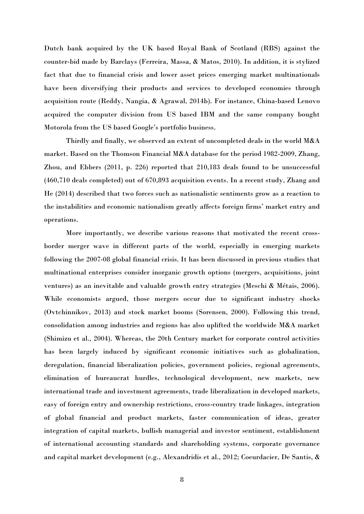Dutch bank acquired by the UK based Royal Bank of Scotland (RBS) against the counter-bid made by Barclays (Ferreira, Massa, & Matos, 2010). In addition, it is stylized fact that due to financial crisis and lower asset prices emerging market multinationals have been diversifying their products and services to developed economies through acquisition route (Reddy, Nangia, & Agrawal, 2014b). For instance, China-based Lenovo acquired the computer division from US based IBM and the same company bought Motorola from the US based Google's portfolio business.

Thirdly and finally, we observed an extent of uncompleted deals in the world M&A market. Based on the Thomson Financial M&A database for the period 1982-2009, Zhang, Zhou, and Ebbers (2011, p. 226) reported that 210,183 deals found to be unsuccessful (460,710 deals completed) out of 670,893 acquisition events. In a recent study, Zhang and He (2014) described that two forces such as nationalistic sentiments grow as a reaction to the instabilities and economic nationalism greatly affects foreign firms' market entry and operations.

More importantly, we describe various reasons that motivated the recent crossborder merger wave in different parts of the world, especially in emerging markets following the 2007-08 global financial crisis. It has been discussed in previous studies that multinational enterprises consider inorganic growth options (mergers, acquisitions, joint ventures) as an inevitable and valuable growth entry strategies (Meschi & Métais, 2006). While economists argued, those mergers occur due to significant industry shocks (Ovtchinnikov, 2013) and stock market booms (Sorensen, 2000). Following this trend, consolidation among industries and regions has also uplifted the worldwide M&A market (Shimizu et al., 2004). Whereas, the 20th Century market for corporate control activities has been largely induced by significant economic initiatives such as globalization, deregulation, financial liberalization policies, government policies, regional agreements, elimination of bureaucrat hurdles, technological development, new markets, new international trade and investment agreements, trade liberalization in developed markets, easy of foreign entry and ownership restrictions, cross-country trade linkages, integration of global financial and product markets, faster communication of ideas, greater integration of capital markets, bullish managerial and investor sentiment, establishment of international accounting standards and shareholding systems, corporate governance and capital market development (e.g., Alexandridis et al., 2012; Coeurdacier, De Santis, &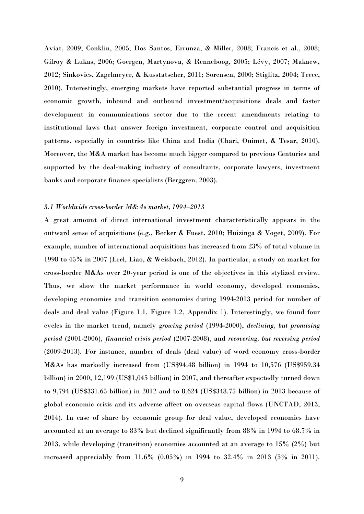Aviat, 2009; Conklin, 2005; Dos Santos, Errunza, & Miller, 2008; Francis et al., 2008; Gilroy & Lukas, 2006; Goergen, Martynova, & Renneboog, 2005; Lévy, 2007; Makaew, 2012; Sinkovics, Zagelmeyer, & Kusstatscher, 2011; Sorensen, 2000; Stiglitz, 2004; Teece, 2010). Interestingly, emerging markets have reported substantial progress in terms of economic growth, inbound and outbound investment/acquisitions deals and faster development in communications sector due to the recent amendments relating to institutional laws that answer foreign investment, corporate control and acquisition patterns, especially in countries like China and India (Chari, Ouimet, & Tesar, 2010). Moreover, the M&A market has become much bigger compared to previous Centuries and supported by the deal-making industry of consultants, corporate lawyers, investment banks and corporate finance specialists (Berggren, 2003).

#### *3.1 Worldwide cross-border M&As market, 1994‒2013*

A great amount of direct international investment characteristically appears in the outward sense of acquisitions (e.g., Becker & Fuest, 2010; Huizinga & Voget, 2009). For example, number of international acquisitions has increased from 23% of total volume in 1998 to 45% in 2007 (Erel, Liao, & Weisbach, 2012). In particular, a study on market for cross-border M&As over 20-year period is one of the objectives in this stylized review. Thus, we show the market performance in world economy, developed economies, developing economies and transition economies during 1994-2013 period for number of deals and deal value (Figure 1.1, Figure 1.2, Appendix 1). Interestingly, we found four cycles in the market trend, namely *growing period* (1994-2000), *declining, but promising period* (2001-2006), *financial crisis period* (2007-2008), and *recovering, but reversing period* (2009-2013). For instance, number of deals (deal value) of word economy cross-border M&As has markedly increased from (US\$94.48 billion) in 1994 to 10,576 (US\$959.34 billion) in 2000, 12,199 (US\$1,045 billion) in 2007, and thereafter expectedly turned down to 9,794 (US\$331.65 billion) in 2012 and to 8,624 (US\$348.75 billion) in 2013 because of global economic crisis and its adverse affect on overseas capital flows (UNCTAD, 2013, 2014). In case of share by economic group for deal value, developed economies have accounted at an average to 83% but declined significantly from 88% in 1994 to 68.7% in 2013, while developing (transition) economies accounted at an average to 15% (2%) but increased appreciably from 11.6% (0.05%) in 1994 to 32.4% in 2013 (5% in 2011).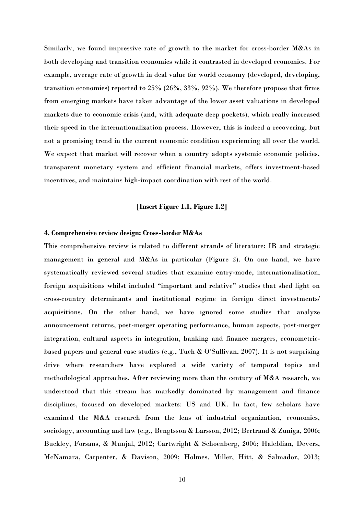Similarly, we found impressive rate of growth to the market for cross-border M&As in both developing and transition economies while it contrasted in developed economies. For example, average rate of growth in deal value for world economy (developed, developing, transition economies) reported to 25% (26%, 33%, 92%). We therefore propose that firms from emerging markets have taken advantage of the lower asset valuations in developed markets due to economic crisis (and, with adequate deep pockets), which really increased their speed in the internationalization process. However, this is indeed a recovering, but not a promising trend in the current economic condition experiencing all over the world. We expect that market will recover when a country adopts systemic economic policies, transparent monetary system and efficient financial markets, offers investment-based incentives, and maintains high-impact coordination with rest of the world.

## **[Insert Figure 1.1, Figure 1.2]**

#### **4. Comprehensive review design: Cross-border M&As**

This comprehensive review is related to different strands of literature: IB and strategic management in general and M&As in particular (Figure 2). On one hand, we have systematically reviewed several studies that examine entry-mode, internationalization, foreign acquisitions whilst included "important and relative" studies that shed light on cross-country determinants and institutional regime in foreign direct investments/ acquisitions. On the other hand, we have ignored some studies that analyze announcement returns, post-merger operating performance, human aspects, post-merger integration, cultural aspects in integration, banking and finance mergers, econometricbased papers and general case studies (e.g., Tuch & O'Sullivan, 2007). It is not surprising drive where researchers have explored a wide variety of temporal topics and methodological approaches. After reviewing more than the century of M&A research, we understood that this stream has markedly dominated by management and finance disciplines, focused on developed markets: US and UK. In fact, few scholars have examined the M&A research from the lens of industrial organization, economics, sociology, accounting and law (e.g., Bengtsson & Larsson, 2012; Bertrand & Zuniga, 2006; Buckley, Forsans, & Munjal, 2012; Cartwright & Schoenberg, 2006; Haleblian, Devers, McNamara, Carpenter, & Davison, 2009; Holmes, Miller, Hitt, & Salmador, 2013;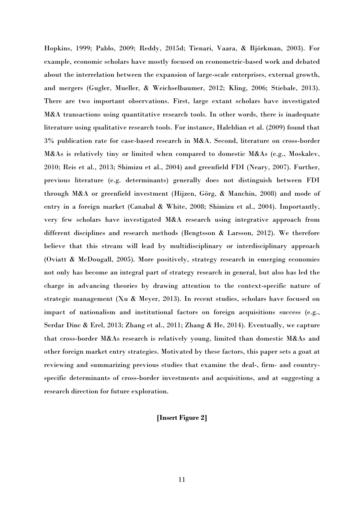Hopkins, 1999; Pablo, 2009; Reddy, 2015d; Tienari, Vaara, & Björkman, 2003). For example, economic scholars have mostly focused on econometric-based work and debated about the interrelation between the expansion of large-scale enterprises, external growth, and mergers (Gugler, Mueller, & Weichselbaumer, 2012; Kling, 2006; Stiebale, 2013). There are two important observations. First, large extant scholars have investigated M&A transactions using quantitative research tools. In other words, there is inadequate literature using qualitative research tools. For instance, Haleblian et al. (2009) found that 3% publication rate for case-based research in M&A. Second, literature on cross-border M&As is relatively tiny or limited when compared to domestic M&As (e.g., Moskalev, 2010; Reis et al., 2013; Shimizu et al., 2004) and greenfield FDI (Neary, 2007). Further, previous literature (e.g. determinants) generally does not distinguish between FDI through M&A or greenfield investment (Hijzen, Görg, & Manchin, 2008) and mode of entry in a foreign market (Canabal & White, 2008; Shimizu et al., 2004). Importantly, very few scholars have investigated M&A research using integrative approach from different disciplines and research methods (Bengtsson & Larsson, 2012). We therefore believe that this stream will lead by multidisciplinary or interdisciplinary approach (Oviatt & McDougall, 2005). More positively, strategy research in emerging economies not only has become an integral part of strategy research in general, but also has led the charge in advancing theories by drawing attention to the context-specific nature of strategic management (Xu & Meyer, 2013). In recent studies, scholars have focused on impact of nationalism and institutional factors on foreign acquisitions success (e.g., Serdar Dinc & Erel, 2013; Zhang et al., 2011; Zhang & He, 2014). Eventually, we capture that cross-border M&As research is relatively young, limited than domestic M&As and other foreign market entry strategies. Motivated by these factors, this paper sets a goat at reviewing and summarizing previous studies that examine the deal-, firm- and countryspecific determinants of cross-border investments and acquisitions, and at suggesting a research direction for future exploration.

## **[Insert Figure 2]**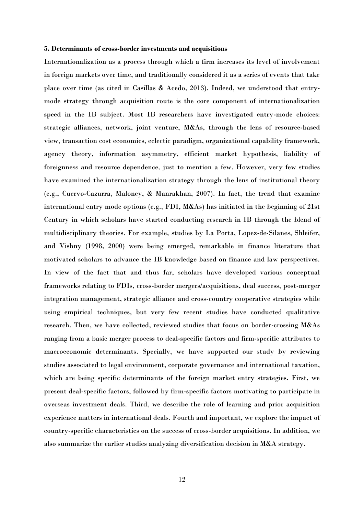#### **5. Determinants of cross-border investments and acquisitions**

Internationalization as a process through which a firm increases its level of involvement in foreign markets over time, and traditionally considered it as a series of events that take place over time (as cited in Casillas & Acedo, 2013). Indeed, we understood that entrymode strategy through acquisition route is the core component of internationalization speed in the IB subject. Most IB researchers have investigated entry-mode choices: strategic alliances, network, joint venture, M&As, through the lens of resource-based view, transaction cost economics, eclectic paradigm, organizational capability framework, agency theory, information asymmetry, efficient market hypothesis, liability of foreignness and resource dependence, just to mention a few. However, very few studies have examined the internationalization strategy through the lens of institutional theory (e.g., Cuervo-Cazurra, Maloney, & Manrakhan, 2007). In fact, the trend that examine international entry mode options (e.g., FDI, M&As) has initiated in the beginning of 21st Century in which scholars have started conducting research in IB through the blend of multidisciplinary theories. For example, studies by La Porta, Lopez-de-Silanes, Shleifer, and Vishny (1998, 2000) were being emerged, remarkable in finance literature that motivated scholars to advance the IB knowledge based on finance and law perspectives. In view of the fact that and thus far, scholars have developed various conceptual frameworks relating to FDIs, cross-border mergers/acquisitions, deal success, post-merger integration management, strategic alliance and cross-country cooperative strategies while using empirical techniques, but very few recent studies have conducted qualitative research. Then, we have collected, reviewed studies that focus on border-crossing M&As ranging from a basic merger process to deal-specific factors and firm-specific attributes to macroeconomic determinants. Specially, we have supported our study by reviewing studies associated to legal environment, corporate governance and international taxation, which are being specific determinants of the foreign market entry strategies. First, we present deal-specific factors, followed by firm-specific factors motivating to participate in overseas investment deals. Third, we describe the role of learning and prior acquisition experience matters in international deals. Fourth and important, we explore the impact of country-specific characteristics on the success of cross-border acquisitions. In addition, we also summarize the earlier studies analyzing diversification decision in M&A strategy.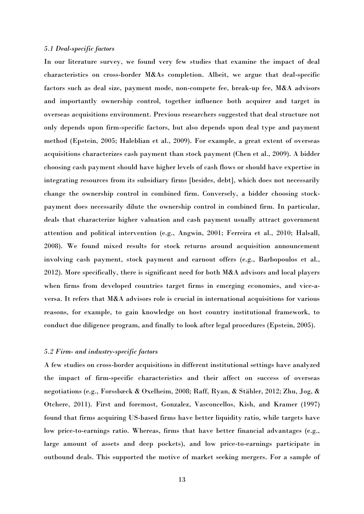### *5.1 Deal-specific factors*

In our literature survey, we found very few studies that examine the impact of deal characteristics on cross-border M&As completion. Albeit, we argue that deal-specific factors such as deal size, payment mode, non-compete fee, break-up fee, M&A advisors and importantly ownership control, together influence both acquirer and target in overseas acquisitions environment. Previous researchers suggested that deal structure not only depends upon firm-specific factors, but also depends upon deal type and payment method (Epstein, 2005; Haleblian et al., 2009). For example, a great extent of overseas acquisitions characterizes cash payment than stock payment (Chen et al., 2009). A bidder choosing cash payment should have higher levels of cash flows or should have expertise in integrating resources from its subsidiary firms [besides, debt], which does not necessarily change the ownership control in combined firm. Conversely, a bidder choosing stockpayment does necessarily dilute the ownership control in combined firm. In particular, deals that characterize higher valuation and cash payment usually attract government attention and political intervention (e.g., Angwin, 2001; Ferreira et al., 2010; Halsall, 2008). We found mixed results for stock returns around acquisition announcement involving cash payment, stock payment and earnout offers (e.g., Barbopoulos et al.,  $2012$ ). More specifically, there is significant need for both  $M\&A$  advisors and local players when firms from developed countries target firms in emerging economies, and vice-aversa. It refers that M&A advisors role is crucial in international acquisitions for various reasons, for example, to gain knowledge on host country institutional framework, to conduct due diligence program, and finally to look after legal procedures (Epstein, 2005).

## *5.2 Firm- and industry-specific factors*

A few studies on cross-border acquisitions in different institutional settings have analyzed the impact of firm-specific characteristics and their affect on success of overseas negotiations (e.g., Forssbæck & Oxelheim, 2008; Raff, Ryan, & Stähler, 2012; Zhu, Jog, & Otchere, 2011). First and foremost, Gonzalez, Vasconcellos, Kish, and Kramer (1997) found that firms acquiring US-based firms have better liquidity ratio, while targets have low price-to-earnings ratio. Whereas, firms that have better financial advantages (e.g., large amount of assets and deep pockets), and low price-to-earnings participate in outbound deals. This supported the motive of market seeking mergers. For a sample of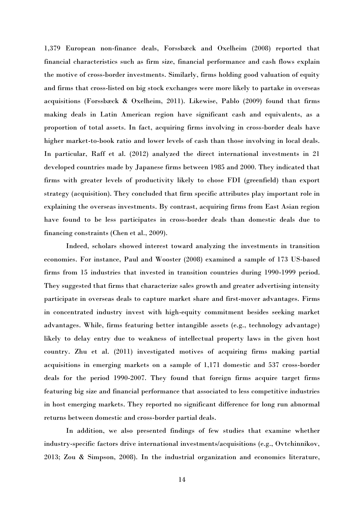1,379 European non-finance deals, Forssbæck and Oxelheim (2008) reported that financial characteristics such as firm size, financial performance and cash flows explain the motive of cross-border investments. Similarly, firms holding good valuation of equity and firms that cross-listed on big stock exchanges were more likely to partake in overseas acquisitions (Forssbæck & Oxelheim, 2011). Likewise, Pablo (2009) found that firms making deals in Latin American region have significant cash and equivalents, as a proportion of total assets. In fact, acquiring firms involving in cross-border deals have higher market-to-book ratio and lower levels of cash than those involving in local deals. In particular, Raff et al. (2012) analyzed the direct international investments in 21 developed countries made by Japanese firms between 1985 and 2000. They indicated that firms with greater levels of productivity likely to chose FDI (greenfield) than export strategy (acquisition). They concluded that firm specific attributes play important role in explaining the overseas investments. By contrast, acquiring firms from East Asian region have found to be less participates in cross-border deals than domestic deals due to financing constraints (Chen et al., 2009).

Indeed, scholars showed interest toward analyzing the investments in transition economies. For instance, Paul and Wooster (2008) examined a sample of 173 US-based firms from 15 industries that invested in transition countries during 1990-1999 period. They suggested that firms that characterize sales growth and greater advertising intensity participate in overseas deals to capture market share and first-mover advantages. Firms in concentrated industry invest with high-equity commitment besides seeking market advantages. While, firms featuring better intangible assets (e.g., technology advantage) likely to delay entry due to weakness of intellectual property laws in the given host country. Zhu et al. (2011) investigated motives of acquiring firms making partial acquisitions in emerging markets on a sample of 1,171 domestic and 537 cross-border deals for the period 1990-2007. They found that foreign firms acquire target firms featuring big size and financial performance that associated to less competitive industries in host emerging markets. They reported no significant difference for long run abnormal returns between domestic and cross-border partial deals.

In addition, we also presented findings of few studies that examine whether industry-specific factors drive international investments/acquisitions (e.g., Ovtchinnikov, 2013; Zou & Simpson, 2008). In the industrial organization and economics literature,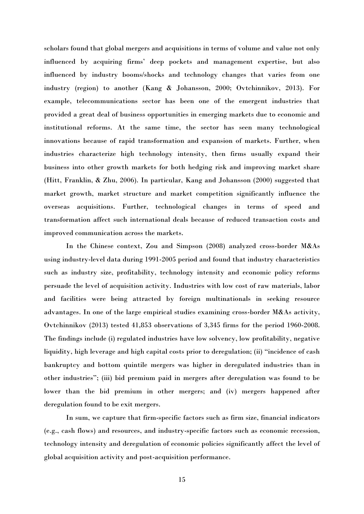scholars found that global mergers and acquisitions in terms of volume and value not only influenced by acquiring firms' deep pockets and management expertise, but also influenced by industry booms/shocks and technology changes that varies from one industry (region) to another (Kang & Johansson, 2000; Ovtchinnikov, 2013). For example, telecommunications sector has been one of the emergent industries that provided a great deal of business opportunities in emerging markets due to economic and institutional reforms. At the same time, the sector has seen many technological innovations because of rapid transformation and expansion of markets. Further, when industries characterize high technology intensity, then firms usually expand their business into other growth markets for both hedging risk and improving market share (Hitt, Franklin, & Zhu, 2006). In particular, Kang and Johansson (2000) suggested that market growth, market structure and market competition significantly influence the overseas acquisitions. Further, technological changes in terms of speed and transformation affect such international deals because of reduced transaction costs and improved communication across the markets.

In the Chinese context, Zou and Simpson (2008) analyzed cross-border M&As using industry-level data during 1991-2005 period and found that industry characteristics such as industry size, profitability, technology intensity and economic policy reforms persuade the level of acquisition activity. Industries with low cost of raw materials, labor and facilities were being attracted by foreign multinationals in seeking resource advantages. In one of the large empirical studies examining cross-border M&As activity, Ovtchinnikov (2013) tested 41,853 observations of 3,345 firms for the period 1960-2008. The findings include (i) regulated industries have low solvency, low profitability, negative liquidity, high leverage and high capital costs prior to deregulation; (ii) "incidence of cash bankruptcy and bottom quintile mergers was higher in deregulated industries than in other industries"; (iii) bid premium paid in mergers after deregulation was found to be lower than the bid premium in other mergers; and (iv) mergers happened after deregulation found to be exit mergers.

In sum, we capture that firm-specific factors such as firm size, financial indicators (e.g., cash flows) and resources, and industry-specific factors such as economic recession, technology intensity and deregulation of economic policies significantly affect the level of global acquisition activity and post-acquisition performance.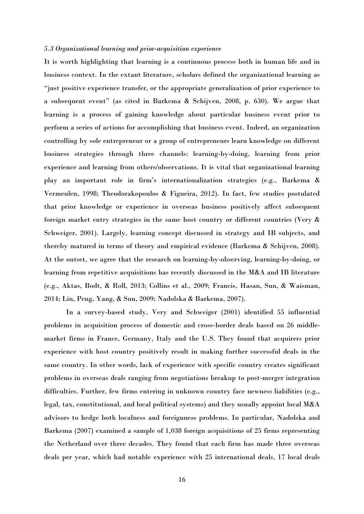#### *5.3 Organizational learning and prior-acquisition experience*

It is worth highlighting that learning is a continuous process both in human life and in business context. In the extant literature, scholars defined the organizational learning as "just positive experience transfer, or the appropriate generalization of prior experience to a subsequent event" (as cited in Barkema & Schijven, 2008, p. 630). We argue that learning is a process of gaining knowledge about particular business event prior to perform a series of actions for accomplishing that business event. Indeed, an organization controlling by sole entrepreneur or a group of entrepreneurs learn knowledge on different business strategies through three channels: learning-by-doing, learning from prior experience and learning from others/observations. It is vital that organizational learning play an important role in firm's internationalization strategies (e.g., Barkema & Vermeulen, 1998; Theodorakopoulos & Figueira, 2012). In fact, few studies postulated that prior knowledge or experience in overseas business positively affect subsequent foreign market entry strategies in the same host country or different countries (Very & Schweiger, 2001). Largely, learning concept discussed in strategy and IB subjects, and thereby matured in terms of theory and empirical evidence (Barkema & Schijven, 2008). At the outset, we agree that the research on learning-by-observing, learning-by-doing, or learning from repetitive acquisitions has recently discussed in the M&A and IB literature (e.g., Aktas, Bodt, & Roll, 2013; Collins et al., 2009; Francis, Hasan, Sun, & Waisman, 2014; Lin, Peng, Yang, & Sun, 2009; Nadolska & Barkema, 2007).

In a survey-based study, Very and Schweiger (2001) identified 55 influential problems in acquisition process of domestic and cross-border deals based on 26 middlemarket firms in France, Germany, Italy and the U.S. They found that acquirers prior experience with host country positively result in making further successful deals in the same country. In other words, lack of experience with specific country creates significant problems in overseas deals ranging from negotiations breakup to post-merger integration difficulties. Further, few firms entering in unknown country face newness liabilities (e.g., legal, tax, constitutional, and local political systems) and they usually appoint local M&A advisors to hedge both localness and foreignness problems. In particular, Nadolska and Barkema (2007) examined a sample of 1,038 foreign acquisitions of 25 firms representing the Netherland over three decades. They found that each firm has made three overseas deals per year, which had notable experience with 25 international deals, 17 local deals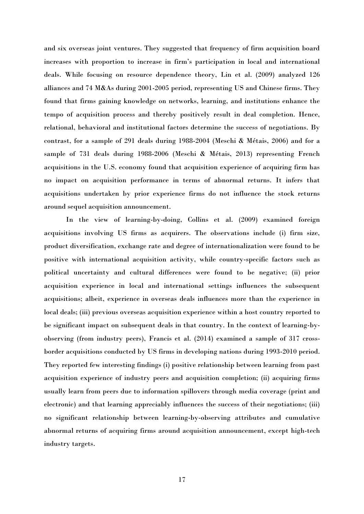and six overseas joint ventures. They suggested that frequency of firm acquisition board increases with proportion to increase in firm's participation in local and international deals. While focusing on resource dependence theory, Lin et al. (2009) analyzed 126 alliances and 74 M&As during 2001-2005 period, representing US and Chinese firms. They found that firms gaining knowledge on networks, learning, and institutions enhance the tempo of acquisition process and thereby positively result in deal completion. Hence, relational, behavioral and institutional factors determine the success of negotiations. By contrast, for a sample of 291 deals during 1988-2004 (Meschi & Métais, 2006) and for a sample of 731 deals during 1988-2006 (Meschi & Métais, 2013) representing French acquisitions in the U.S. economy found that acquisition experience of acquiring firm has no impact on acquisition performance in terms of abnormal returns. It infers that acquisitions undertaken by prior experience firms do not influence the stock returns around sequel acquisition announcement.

In the view of learning-by-doing, Collins et al. (2009) examined foreign acquisitions involving US firms as acquirers. The observations include (i) firm size, product diversification, exchange rate and degree of internationalization were found to be positive with international acquisition activity, while country-specific factors such as political uncertainty and cultural differences were found to be negative; (ii) prior acquisition experience in local and international settings influences the subsequent acquisitions; albeit, experience in overseas deals influences more than the experience in local deals; (iii) previous overseas acquisition experience within a host country reported to be significant impact on subsequent deals in that country. In the context of learning-byobserving (from industry peers), Francis et al. (2014) examined a sample of 317 crossborder acquisitions conducted by US firms in developing nations during 1993-2010 period. They reported few interesting findings (i) positive relationship between learning from past acquisition experience of industry peers and acquisition completion; (ii) acquiring firms usually learn from peers due to information spillovers through media coverage (print and electronic) and that learning appreciably influences the success of their negotiations; (iii) no significant relationship between learning-by-observing attributes and cumulative abnormal returns of acquiring firms around acquisition announcement, except high-tech industry targets.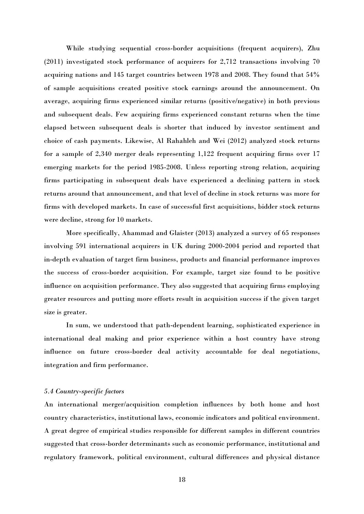While studying sequential cross-border acquisitions (frequent acquirers), Zhu (2011) investigated stock performance of acquirers for 2,712 transactions involving 70 acquiring nations and 145 target countries between 1978 and 2008. They found that 54% of sample acquisitions created positive stock earnings around the announcement. On average, acquiring firms experienced similar returns (positive/negative) in both previous and subsequent deals. Few acquiring firms experienced constant returns when the time elapsed between subsequent deals is shorter that induced by investor sentiment and choice of cash payments. Likewise, Al Rahahleh and Wei (2012) analyzed stock returns for a sample of 2,340 merger deals representing 1,122 frequent acquiring firms over 17 emerging markets for the period 1985-2008. Unless reporting strong relation, acquiring firms participating in subsequent deals have experienced a declining pattern in stock returns around that announcement, and that level of decline in stock returns was more for firms with developed markets. In case of successful first acquisitions, bidder stock returns were decline, strong for 10 markets.

More specifically, Ahammad and Glaister (2013) analyzed a survey of 65 responses involving 591 international acquirers in UK during 2000-2004 period and reported that in-depth evaluation of target firm business, products and financial performance improves the success of cross-border acquisition. For example, target size found to be positive influence on acquisition performance. They also suggested that acquiring firms employing greater resources and putting more efforts result in acquisition success if the given target size is greater.

In sum, we understood that path-dependent learning, sophisticated experience in international deal making and prior experience within a host country have strong influence on future cross-border deal activity accountable for deal negotiations, integration and firm performance.

## *5.4 Country-specific factors*

An international merger/acquisition completion influences by both home and host country characteristics, institutional laws, economic indicators and political environment. A great degree of empirical studies responsible for different samples in different countries suggested that cross-border determinants such as economic performance, institutional and regulatory framework, political environment, cultural differences and physical distance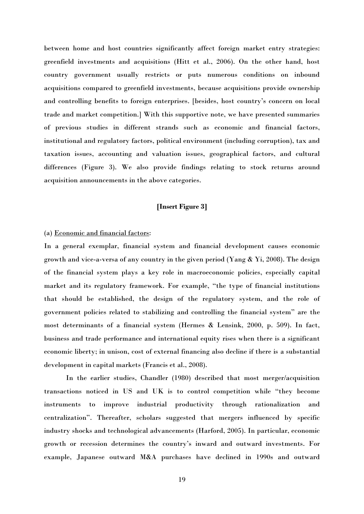between home and host countries significantly affect foreign market entry strategies: greenfield investments and acquisitions (Hitt et al., 2006). On the other hand, host country government usually restricts or puts numerous conditions on inbound acquisitions compared to greenfield investments, because acquisitions provide ownership and controlling benefits to foreign enterprises. [besides, host country's concern on local trade and market competition.] With this supportive note, we have presented summaries of previous studies in different strands such as economic and financial factors, institutional and regulatory factors, political environment (including corruption), tax and taxation issues, accounting and valuation issues, geographical factors, and cultural differences (Figure 3). We also provide findings relating to stock returns around acquisition announcements in the above categories.

## **[Insert Figure 3]**

## (a) Economic and financial factors:

In a general exemplar, financial system and financial development causes economic growth and vice-a-versa of any country in the given period (Yang & Yi, 2008). The design of the financial system plays a key role in macroeconomic policies, especially capital market and its regulatory framework. For example, "the type of financial institutions that should be established, the design of the regulatory system, and the role of government policies related to stabilizing and controlling the financial system" are the most determinants of a financial system (Hermes & Lensink, 2000, p. 509). In fact, business and trade performance and international equity rises when there is a significant economic liberty; in unison, cost of external financing also decline if there is a substantial development in capital markets (Francis et al., 2008).

In the earlier studies, Chandler (1980) described that most merger/acquisition transactions noticed in US and UK is to control competition while "they become instruments to improve industrial productivity through rationalization and centralization". Thereafter, scholars suggested that mergers influenced by specific industry shocks and technological advancements (Harford, 2005). In particular, economic growth or recession determines the country's inward and outward investments. For example, Japanese outward M&A purchases have declined in 1990s and outward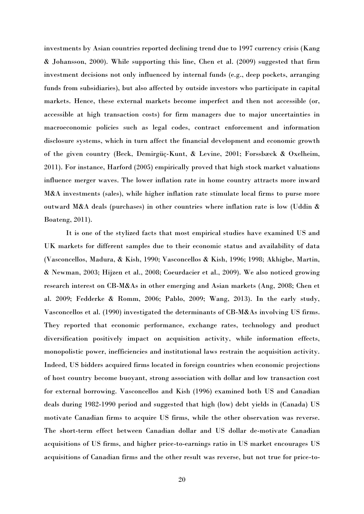investments by Asian countries reported declining trend due to 1997 currency crisis (Kang & Johansson, 2000). While supporting this line, Chen et al. (2009) suggested that firm investment decisions not only influenced by internal funds (e.g., deep pockets, arranging funds from subsidiaries), but also affected by outside investors who participate in capital markets. Hence, these external markets become imperfect and then not accessible (or, accessible at high transaction costs) for firm managers due to major uncertainties in macroeconomic policies such as legal codes, contract enforcement and information disclosure systems, which in turn affect the financial development and economic growth of the given country (Beck, Demirgüç-Kunt, & Levine, 2001; Forssbæck & Oxelheim, 2011). For instance, Harford (2005) empirically proved that high stock market valuations influence merger waves. The lower inflation rate in home country attracts more inward M&A investments (sales), while higher inflation rate stimulate local firms to purse more outward M&A deals (purchases) in other countries where inflation rate is low (Uddin & Boateng, 2011).

It is one of the stylized facts that most empirical studies have examined US and UK markets for different samples due to their economic status and availability of data (Vasconcellos, Madura, & Kish, 1990; Vasconcellos & Kish, 1996; 1998; Akhigbe, Martin, & Newman, 2003; Hijzen et al., 2008; Coeurdacier et al., 2009). We also noticed growing research interest on CB-M&As in other emerging and Asian markets (Ang, 2008; Chen et al. 2009; Fedderke & Romm, 2006; Pablo, 2009; Wang, 2013). In the early study, Vasconcellos et al. (1990) investigated the determinants of CB-M&As involving US firms. They reported that economic performance, exchange rates, technology and product diversification positively impact on acquisition activity, while information effects, monopolistic power, inefficiencies and institutional laws restrain the acquisition activity. Indeed, US bidders acquired firms located in foreign countries when economic projections of host country become buoyant, strong association with dollar and low transaction cost for external borrowing. Vasconcellos and Kish (1996) examined both US and Canadian deals during 1982-1990 period and suggested that high (low) debt yields in (Canada) US motivate Canadian firms to acquire US firms, while the other observation was reverse. The short-term effect between Canadian dollar and US dollar de-motivate Canadian acquisitions of US firms, and higher price-to-earnings ratio in US market encourages US acquisitions of Canadian firms and the other result was reverse, but not true for price-to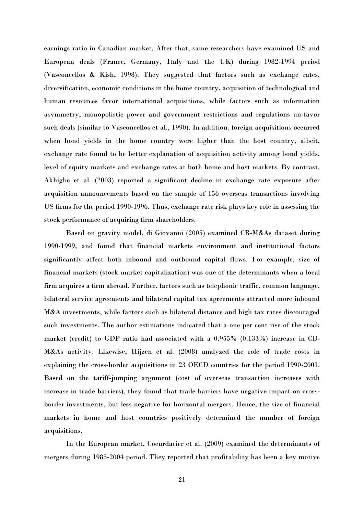earnings ratio in Canadian market. After that, same researchers have examined US and European deals (France, Germany, Italy and the UK) during 1982-1994 period (Vasconcellos & Kish, 1998). They suggested that factors such as exchange rates, diversification, economic conditions in the home country, acquisition of technological and human resources favor international acquisitions, while factors such as information asymmetry, monopolistic power and government restrictions and regulations un-favor such deals (similar to Vasconcellos et al., 1990). In addition, foreign acquisitions occurred when bond yields in the home country were higher than the host country, albeit, exchange rate found to be better explanation of acquisition activity among bond yields, level of equity markets and exchange rates at both home and host markets. By contrast, Akhigbe et al. (2003) reported a significant decline in exchange rate exposure after acquisition announcements based on the sample of 156 overseas transactions involving US firms for the period 1990-1996. Thus, exchange rate risk plays key role in assessing the stock performance of acquiring firm shareholders.

Based on gravity model, di Giovanni (2005) examined CB-M&As dataset during 1990-1999, and found that financial markets environment and institutional factors significantly affect both inbound and outbound capital flows. For example, size of financial markets (stock market capitalization) was one of the determinants when a local firm acquires a firm abroad. Further, factors such as telephonic traffic, common language, bilateral service agreements and bilateral capital tax agreements attracted more inbound M&A investments, while factors such as bilateral distance and high tax rates discouraged such investments. The author estimations indicated that a one per cent rise of the stock market (credit) to GDP ratio had associated with a 0.955% (0.133%) increase in CB-M&As activity. Likewise, Hijzen et al. (2008) analyzed the role of trade costs in explaining the cross-border acquisitions in 23 OECD countries for the period 1990-2001. Based on the tariff-jumping argument (cost of overseas transaction increases with increase in trade barriers), they found that trade barriers have negative impact on crossborder investments, but less negative for horizontal mergers. Hence, the size of financial markets in home and host countries positively determined the number of foreign acquisitions.

In the European market, Coeurdacier et al. (2009) examined the determinants of mergers during 1985-2004 period. They reported that profitability has been a key motive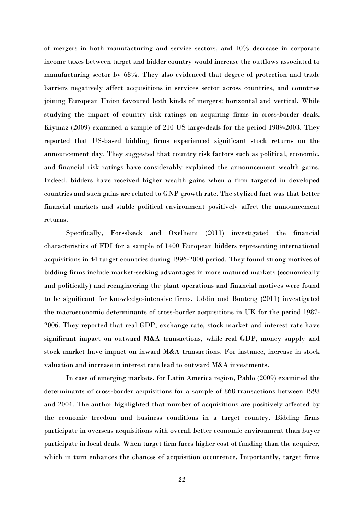of mergers in both manufacturing and service sectors, and 10% decrease in corporate income taxes between target and bidder country would increase the outflows associated to manufacturing sector by 68%. They also evidenced that degree of protection and trade barriers negatively affect acquisitions in services sector across countries, and countries joining European Union favoured both kinds of mergers: horizontal and vertical. While studying the impact of country risk ratings on acquiring firms in cross-border deals, Kiymaz (2009) examined a sample of 210 US large-deals for the period 1989-2003. They reported that US-based bidding firms experienced significant stock returns on the announcement day. They suggested that country risk factors such as political, economic, and financial risk ratings have considerably explained the announcement wealth gains. Indeed, bidders have received higher wealth gains when a firm targeted in developed countries and such gains are related to GNP growth rate. The stylized fact was that better financial markets and stable political environment positively affect the announcement returns.

Specifically, Forssbæck and Oxelheim (2011) investigated the financial characteristics of FDI for a sample of 1400 European bidders representing international acquisitions in 44 target countries during 1996-2000 period. They found strong motives of bidding firms include market-seeking advantages in more matured markets (economically and politically) and reengineering the plant operations and financial motives were found to be significant for knowledge-intensive firms. Uddin and Boateng (2011) investigated the macroeconomic determinants of cross-border acquisitions in UK for the period 1987- 2006. They reported that real GDP, exchange rate, stock market and interest rate have significant impact on outward M&A transactions, while real GDP, money supply and stock market have impact on inward M&A transactions. For instance, increase in stock valuation and increase in interest rate lead to outward M&A investments.

In case of emerging markets, for Latin America region, Pablo (2009) examined the determinants of cross-border acquisitions for a sample of 868 transactions between 1998 and 2004. The author highlighted that number of acquisitions are positively affected by the economic freedom and business conditions in a target country. Bidding firms participate in overseas acquisitions with overall better economic environment than buyer participate in local deals. When target firm faces higher cost of funding than the acquirer, which in turn enhances the chances of acquisition occurrence. Importantly, target firms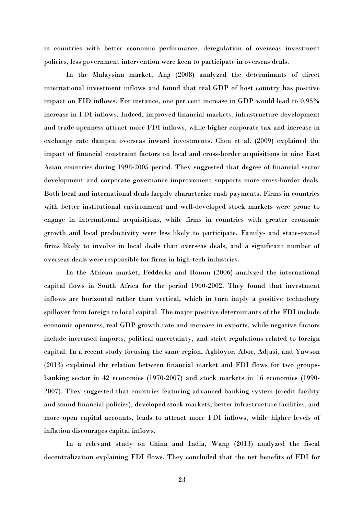in countries with better economic performance, deregulation of overseas investment policies, less government intervention were keen to participate in overseas deals.

In the Malaysian market, Ang (2008) analyzed the determinants of direct international investment inflows and found that real GDP of host country has positive impact on FID inflows. For instance, one per cent increase in GDP would lead to 0.95% increase in FDI inflows. Indeed, improved financial markets, infrastructure development and trade openness attract more FDI inflows, while higher corporate tax and increase in exchange rate dampen overseas inward investments. Chen et al. (2009) explained the impact of financial constraint factors on local and cross-border acquisitions in nine East Asian countries during 1998-2005 period. They suggested that degree of financial sector development and corporate governance improvement supports more cross-border deals. Both local and international deals largely characterize cash payments. Firms in countries with better institutional environment and well-developed stock markets were prone to engage in international acquisitions, while firms in countries with greater economic growth and local productivity were less likely to participate. Family- and state-owned firms likely to involve in local deals than overseas deals, and a significant number of overseas deals were responsible for firms in high-tech industries.

In the African market, Fedderke and Romm (2006) analyzed the international capital flows in South Africa for the period 1960-2002. They found that investment inflows are horizontal rather than vertical, which in turn imply a positive technology spillover from foreign to local capital. The major positive determinants of the FDI include economic openness, real GDP growth rate and increase in exports, while negative factors include increased imports, political uncertainty, and strict regulations related to foreign capital. In a recent study focusing the same region, Agbloyor, Abor, Adjasi, and Yawson (2013) explained the relation between financial market and FDI flows for two groupsbanking sector in 42 economies (1970-2007) and stock markets in 16 economies (1990- 2007). They suggested that countries featuring advanced banking system (credit facility and sound financial policies), developed stock markets, better infrastructure facilities, and more open capital accounts, leads to attract more FDI inflows, while higher levels of inflation discourages capital inflows.

In a relevant study on China and India, Wang (2013) analyzed the fiscal decentralization explaining FDI flows. They concluded that the net benefits of FDI for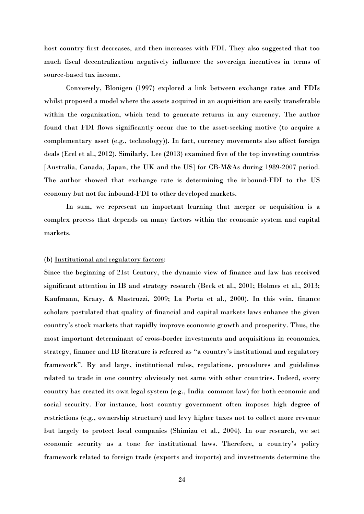host country first decreases, and then increases with FDI. They also suggested that too much fiscal decentralization negatively influence the sovereign incentives in terms of source-based tax income.

Conversely, Blonigen (1997) explored a link between exchange rates and FDIs whilst proposed a model where the assets acquired in an acquisition are easily transferable within the organization, which tend to generate returns in any currency. The author found that FDI flows significantly occur due to the asset-seeking motive (to acquire a complementary asset (e.g., technology)). In fact, currency movements also affect foreign deals (Erel et al., 2012). Similarly, Lee (2013) examined five of the top investing countries [Australia, Canada, Japan, the UK and the US] for CB-M&As during 1989-2007 period. The author showed that exchange rate is determining the inbound-FDI to the US economy but not for inbound-FDI to other developed markets.

In sum, we represent an important learning that merger or acquisition is a complex process that depends on many factors within the economic system and capital markets.

## (b) Institutional and regulatory factors:

Since the beginning of 21st Century, the dynamic view of finance and law has received significant attention in IB and strategy research (Beck et al., 2001; Holmes et al., 2013; Kaufmann, Kraay, & Mastruzzi, 2009; La Porta et al., 2000). In this vein, finance scholars postulated that quality of financial and capital markets laws enhance the given country's stock markets that rapidly improve economic growth and prosperity. Thus, the most important determinant of cross-border investments and acquisitions in economics, strategy, finance and IB literature is referred as "a country's institutional and regulatory framework". By and large, institutional rules, regulations, procedures and guidelines related to trade in one country obviously not same with other countries. Indeed, every country has created its own legal system (e.g., India–common law) for both economic and social security. For instance, host country government often imposes high degree of restrictions (e.g., ownership structure) and levy higher taxes not to collect more revenue but largely to protect local companies (Shimizu et al., 2004). In our research, we set economic security as a tone for institutional laws. Therefore, a country's policy framework related to foreign trade (exports and imports) and investments determine the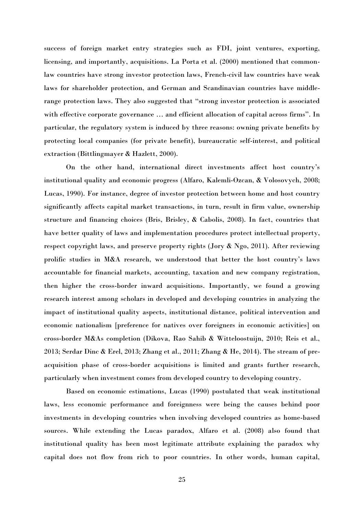success of foreign market entry strategies such as FDI, joint ventures, exporting, licensing, and importantly, acquisitions. La Porta et al. (2000) mentioned that commonlaw countries have strong investor protection laws, French-civil law countries have weak laws for shareholder protection, and German and Scandinavian countries have middlerange protection laws. They also suggested that "strong investor protection is associated with effective corporate governance ... and efficient allocation of capital across firms". In particular, the regulatory system is induced by three reasons: owning private benefits by protecting local companies (for private benefit), bureaucratic self-interest, and political extraction (Bittlingmayer & Hazlett, 2000).

On the other hand, international direct investments affect host country's institutional quality and economic progress (Alfaro, Kalemli-Ozcan, & Volosovych, 2008; Lucas, 1990). For instance, degree of investor protection between home and host country significantly affects capital market transactions, in turn, result in firm value, ownership structure and financing choices (Bris, Brisley, & Cabolis, 2008). In fact, countries that have better quality of laws and implementation procedures protect intellectual property, respect copyright laws, and preserve property rights (Jory & Ngo, 2011). After reviewing prolific studies in M&A research, we understood that better the host country's laws accountable for financial markets, accounting, taxation and new company registration, then higher the cross-border inward acquisitions. Importantly, we found a growing research interest among scholars in developed and developing countries in analyzing the impact of institutional quality aspects, institutional distance, political intervention and economic nationalism [preference for natives over foreigners in economic activities] on cross-border M&As completion (Dikova, Rao Sahib & Witteloostuijn, 2010; Reis et al., 2013; Serdar Dinc & Erel, 2013; Zhang et al., 2011; Zhang & He, 2014). The stream of preacquisition phase of cross-border acquisitions is limited and grants further research, particularly when investment comes from developed country to developing country.

Based on economic estimations, Lucas (1990) postulated that weak institutional laws, less economic performance and foreignness were being the causes behind poor investments in developing countries when involving developed countries as home-based sources. While extending the Lucas paradox, Alfaro et al. (2008) also found that institutional quality has been most legitimate attribute explaining the paradox why capital does not flow from rich to poor countries. In other words, human capital,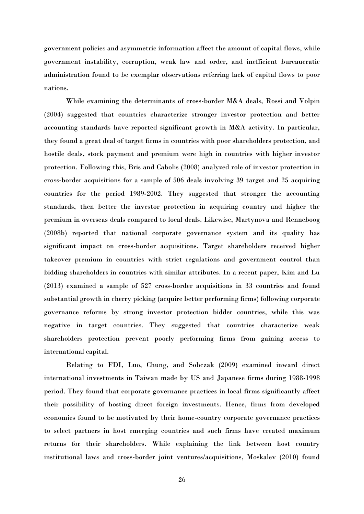government policies and asymmetric information affect the amount of capital flows, while government instability, corruption, weak law and order, and inefficient bureaucratic administration found to be exemplar observations referring lack of capital flows to poor nations.

While examining the determinants of cross-border M&A deals, Rossi and Volpin (2004) suggested that countries characterize stronger investor protection and better accounting standards have reported significant growth in M&A activity. In particular, they found a great deal of target firms in countries with poor shareholders protection, and hostile deals, stock payment and premium were high in countries with higher investor protection. Following this, Bris and Cabolis (2008) analyzed role of investor protection in cross-border acquisitions for a sample of 506 deals involving 39 target and 25 acquiring countries for the period 1989-2002. They suggested that stronger the accounting standards, then better the investor protection in acquiring country and higher the premium in overseas deals compared to local deals. Likewise, Martynova and Renneboog (2008b) reported that national corporate governance system and its quality has significant impact on cross-border acquisitions. Target shareholders received higher takeover premium in countries with strict regulations and government control than bidding shareholders in countries with similar attributes. In a recent paper, Kim and Lu (2013) examined a sample of 527 cross-border acquisitions in 33 countries and found substantial growth in cherry picking (acquire better performing firms) following corporate governance reforms by strong investor protection bidder countries, while this was negative in target countries. They suggested that countries characterize weak shareholders protection prevent poorly performing firms from gaining access to international capital.

Relating to FDI, Luo, Chung, and Sobczak (2009) examined inward direct international investments in Taiwan made by US and Japanese firms during 1988-1998 period. They found that corporate governance practices in local firms significantly affect their possibility of hosting direct foreign investments. Hence, firms from developed economies found to be motivated by their home-country corporate governance practices to select partners in host emerging countries and such firms have created maximum returns for their shareholders. While explaining the link between host country institutional laws and cross-border joint ventures/acquisitions, Moskalev (2010) found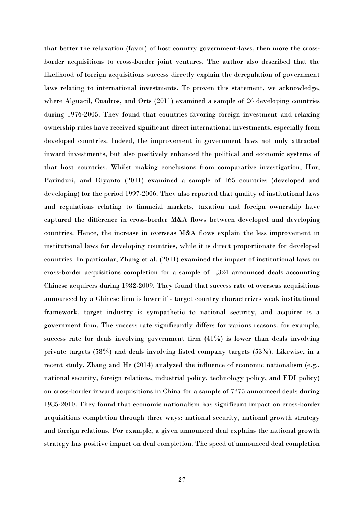that better the relaxation (favor) of host country government-laws, then more the crossborder acquisitions to cross-border joint ventures. The author also described that the likelihood of foreign acquisitions success directly explain the deregulation of government laws relating to international investments. To proven this statement, we acknowledge, where Alguacil, Cuadros, and Orts (2011) examined a sample of 26 developing countries during 1976-2005. They found that countries favoring foreign investment and relaxing ownership rules have received significant direct international investments, especially from developed countries. Indeed, the improvement in government laws not only attracted inward investments, but also positively enhanced the political and economic systems of that host countries. Whilst making conclusions from comparative investigation, Hur, Parinduri, and Riyanto (2011) examined a sample of 165 countries (developed and developing) for the period 1997-2006. They also reported that quality of institutional laws and regulations relating to financial markets, taxation and foreign ownership have captured the difference in cross-border M&A flows between developed and developing countries. Hence, the increase in overseas M&A flows explain the less improvement in institutional laws for developing countries, while it is direct proportionate for developed countries. In particular, Zhang et al. (2011) examined the impact of institutional laws on cross-border acquisitions completion for a sample of 1,324 announced deals accounting Chinese acquirers during 1982-2009. They found that success rate of overseas acquisitions announced by a Chinese firm is lower if - target country characterizes weak institutional framework, target industry is sympathetic to national security, and acquirer is a government firm. The success rate significantly differs for various reasons, for example, success rate for deals involving government firm (41%) is lower than deals involving private targets (58%) and deals involving listed company targets (53%). Likewise, in a recent study, Zhang and He (2014) analyzed the influence of economic nationalism (e.g., national security, foreign relations, industrial policy, technology policy, and FDI policy) on cross-border inward acquisitions in China for a sample of 7275 announced deals during 1985-2010. They found that economic nationalism has significant impact on cross-border acquisitions completion through three ways: national security, national growth strategy and foreign relations. For example, a given announced deal explains the national growth strategy has positive impact on deal completion. The speed of announced deal completion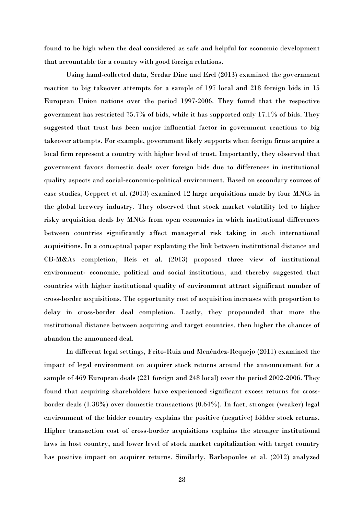found to be high when the deal considered as safe and helpful for economic development that accountable for a country with good foreign relations.

Using hand-collected data, Serdar Dinc and Erel (2013) examined the government reaction to big takeover attempts for a sample of 197 local and 218 foreign bids in 15 European Union nations over the period 1997-2006. They found that the respective government has restricted 75.7% of bids, while it has supported only 17.1% of bids. They suggested that trust has been major influential factor in government reactions to big takeover attempts. For example, government likely supports when foreign firms acquire a local firm represent a country with higher level of trust. Importantly, they observed that government favors domestic deals over foreign bids due to differences in institutional quality aspects and social-economic-political environment. Based on secondary sources of case studies, Geppert et al. (2013) examined 12 large acquisitions made by four MNCs in the global brewery industry. They observed that stock market volatility led to higher risky acquisition deals by MNCs from open economies in which institutional differences between countries significantly affect managerial risk taking in such international acquisitions. In a conceptual paper explanting the link between institutional distance and CB-M&As completion, Reis et al. (2013) proposed three view of institutional environment- economic, political and social institutions, and thereby suggested that countries with higher institutional quality of environment attract significant number of cross-border acquisitions. The opportunity cost of acquisition increases with proportion to delay in cross-border deal completion. Lastly, they propounded that more the institutional distance between acquiring and target countries, then higher the chances of abandon the announced deal.

In different legal settings, Feito-Ruiz and Menéndez-Requejo (2011) examined the impact of legal environment on acquirer stock returns around the announcement for a sample of 469 European deals (221 foreign and 248 local) over the period 2002-2006. They found that acquiring shareholders have experienced significant excess returns for crossborder deals (1.38%) over domestic transactions (0.64%). In fact, stronger (weaker) legal environment of the bidder country explains the positive (negative) bidder stock returns. Higher transaction cost of cross-border acquisitions explains the stronger institutional laws in host country, and lower level of stock market capitalization with target country has positive impact on acquirer returns. Similarly, Barbopoulos et al. (2012) analyzed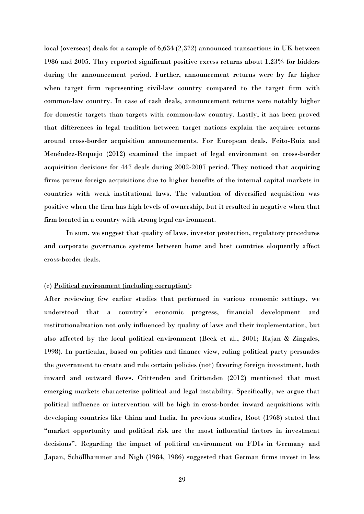local (overseas) deals for a sample of 6,634 (2,372) announced transactions in UK between 1986 and 2005. They reported significant positive excess returns about 1.23% for bidders during the announcement period. Further, announcement returns were by far higher when target firm representing civil-law country compared to the target firm with common-law country. In case of cash deals, announcement returns were notably higher for domestic targets than targets with common-law country. Lastly, it has been proved that differences in legal tradition between target nations explain the acquirer returns around cross-border acquisition announcements. For European deals, Feito-Ruiz and Menéndez-Requejo (2012) examined the impact of legal environment on cross-border acquisition decisions for 447 deals during 2002-2007 period. They noticed that acquiring firms pursue foreign acquisitions due to higher benefits of the internal capital markets in countries with weak institutional laws. The valuation of diversified acquisition was positive when the firm has high levels of ownership, but it resulted in negative when that firm located in a country with strong legal environment.

In sum, we suggest that quality of laws, investor protection, regulatory procedures and corporate governance systems between home and host countries eloquently affect cross-border deals.

## (c) Political environment (including corruption):

After reviewing few earlier studies that performed in various economic settings, we understood that a country's economic progress, financial development and institutionalization not only influenced by quality of laws and their implementation, but also affected by the local political environment (Beck et al., 2001; Rajan & Zingales, 1998). In particular, based on politics and finance view, ruling political party persuades the government to create and rule certain policies (not) favoring foreign investment, both inward and outward flows. Crittenden and Crittenden (2012) mentioned that most emerging markets characterize political and legal instability. Specifically, we argue that political influence or intervention will be high in cross-border inward acquisitions with developing countries like China and India. In previous studies, Root (1968) stated that "market opportunity and political risk are the most influential factors in investment decisions". Regarding the impact of political environment on FDIs in Germany and Japan, Schöllhammer and Nigh (1984, 1986) suggested that German firms invest in less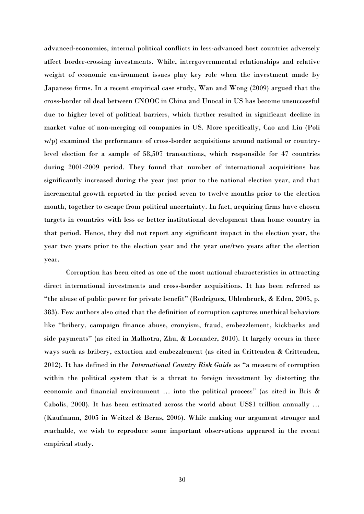advanced-economies, internal political conflicts in less-advanced host countries adversely affect border-crossing investments. While, intergovernmental relationships and relative weight of economic environment issues play key role when the investment made by Japanese firms. In a recent empirical case study, Wan and Wong (2009) argued that the cross-border oil deal between CNOOC in China and Unocal in US has become unsuccessful due to higher level of political barriers, which further resulted in significant decline in market value of non-merging oil companies in US. More specifically, Cao and Liu (Poli w/p) examined the performance of cross-border acquisitions around national or countrylevel election for a sample of 58,507 transactions, which responsible for 47 countries during 2001-2009 period. They found that number of international acquisitions has significantly increased during the year just prior to the national election year, and that incremental growth reported in the period seven to twelve months prior to the election month, together to escape from political uncertainty. In fact, acquiring firms have chosen targets in countries with less or better institutional development than home country in that period. Hence, they did not report any significant impact in the election year, the year two years prior to the election year and the year one/two years after the election year.

Corruption has been cited as one of the most national characteristics in attracting direct international investments and cross-border acquisitions. It has been referred as "the abuse of public power for private benefit" (Rodriguez, Uhlenbruck, & Eden, 2005, p. 383). Few authors also cited that the definition of corruption captures unethical behaviors like "bribery, campaign finance abuse, cronyism, fraud, embezzlement, kickbacks and side payments" (as cited in Malhotra, Zhu, & Locander, 2010). It largely occurs in three ways such as bribery, extortion and embezzlement (as cited in Crittenden & Crittenden, 2012). It has defined in the *International Country Risk Guide* as "a measure of corruption within the political system that is a threat to foreign investment by distorting the economic and financial environment … into the political process" (as cited in Bris & Cabolis, 2008). It has been estimated across the world about US\$1 trillion annually … (Kaufmann, 2005 in Weitzel & Berns, 2006). While making our argument stronger and reachable, we wish to reproduce some important observations appeared in the recent empirical study.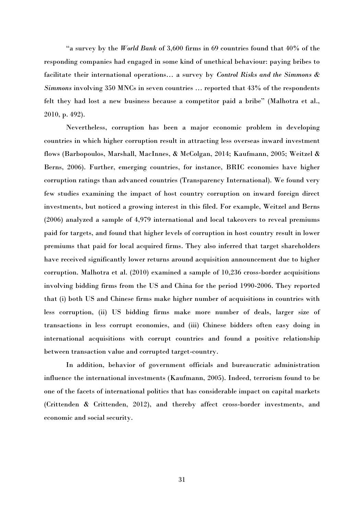"a survey by the *World Bank* of 3,600 firms in 69 countries found that 40% of the responding companies had engaged in some kind of unethical behaviour: paying bribes to facilitate their international operations… a survey by *Control Risks and the Simmons & Simmons* involving 350 MNCs in seven countries … reported that 43% of the respondents felt they had lost a new business because a competitor paid a bribe" (Malhotra et al., 2010, p. 492).

Nevertheless, corruption has been a major economic problem in developing countries in which higher corruption result in attracting less overseas inward investment flows (Barbopoulos, Marshall, MacInnes, & McColgan, 2014; Kaufmann, 2005; Weitzel & Berns, 2006). Further, emerging countries, for instance, BRIC economies have higher corruption ratings than advanced countries (Transparency International). We found very few studies examining the impact of host country corruption on inward foreign direct investments, but noticed a growing interest in this filed. For example, Weitzel and Berns (2006) analyzed a sample of 4,979 international and local takeovers to reveal premiums paid for targets, and found that higher levels of corruption in host country result in lower premiums that paid for local acquired firms. They also inferred that target shareholders have received significantly lower returns around acquisition announcement due to higher corruption. Malhotra et al. (2010) examined a sample of 10,236 cross-border acquisitions involving bidding firms from the US and China for the period 1990-2006. They reported that (i) both US and Chinese firms make higher number of acquisitions in countries with less corruption, (ii) US bidding firms make more number of deals, larger size of transactions in less corrupt economies, and (iii) Chinese bidders often easy doing in international acquisitions with corrupt countries and found a positive relationship between transaction value and corrupted target-country.

In addition, behavior of government officials and bureaucratic administration influence the international investments (Kaufmann, 2005). Indeed, terrorism found to be one of the facets of international politics that has considerable impact on capital markets (Crittenden & Crittenden, 2012), and thereby affect cross-border investments, and economic and social security.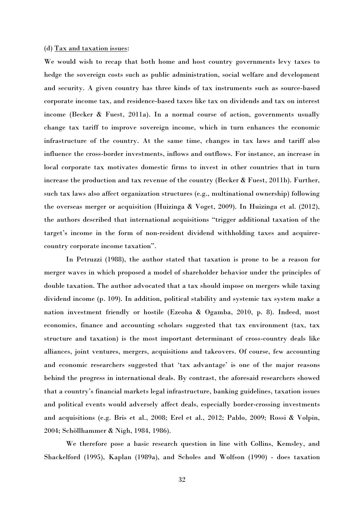#### (d) Tax and taxation issues:

We would wish to recap that both home and host country governments levy taxes to hedge the sovereign costs such as public administration, social welfare and development and security. A given country has three kinds of tax instruments such as source-based corporate income tax, and residence-based taxes like tax on dividends and tax on interest income (Becker & Fuest, 2011a). In a normal course of action, governments usually change tax tariff to improve sovereign income, which in turn enhances the economic infrastructure of the country. At the same time, changes in tax laws and tariff also influence the cross-border investments, inflows and outflows. For instance, an increase in local corporate tax motivates domestic firms to invest in other countries that in turn increase the production and tax revenue of the country (Becker  $\&$  Fuest, 2011b). Further, such tax laws also affect organization structures (e.g., multinational ownership) following the overseas merger or acquisition (Huizinga & Voget, 2009). In Huizinga et al. (2012), the authors described that international acquisitions "trigger additional taxation of the target's income in the form of non-resident dividend withholding taxes and acquirercountry corporate income taxation".

In Petruzzi (1988), the author stated that taxation is prone to be a reason for merger waves in which proposed a model of shareholder behavior under the principles of double taxation. The author advocated that a tax should impose on mergers while taxing dividend income (p. 109). In addition, political stability and systemic tax system make a nation investment friendly or hostile (Ezeoha & Ogamba, 2010, p. 8). Indeed, most economics, finance and accounting scholars suggested that tax environment (tax, tax structure and taxation) is the most important determinant of cross-country deals like alliances, joint ventures, mergers, acquisitions and takeovers. Of course, few accounting and economic researchers suggested that 'tax advantage' is one of the major reasons behind the progress in international deals. By contrast, the aforesaid researchers showed that a country's financial markets legal infrastructure, banking guidelines, taxation issues and political events would adversely affect deals, especially border-crossing investments and acquisitions (e.g. Bris et al., 2008; Erel et al., 2012; Pablo, 2009; Rossi & Volpin, 2004; Schöllhammer & Nigh, 1984, 1986).

We therefore pose a basic research question in line with Collins, Kemsley, and Shackelford (1995), Kaplan (1989a), and Scholes and Wolfson (1990) - does taxation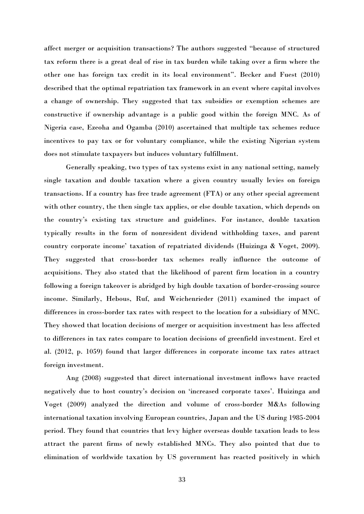affect merger or acquisition transactions? The authors suggested "because of structured tax reform there is a great deal of rise in tax burden while taking over a firm where the other one has foreign tax credit in its local environment". Becker and Fuest (2010) described that the optimal repatriation tax framework in an event where capital involves a change of ownership. They suggested that tax subsidies or exemption schemes are constructive if ownership advantage is a public good within the foreign MNC. As of Nigeria case, Ezeoha and Ogamba (2010) ascertained that multiple tax schemes reduce incentives to pay tax or for voluntary compliance, while the existing Nigerian system does not stimulate taxpayers but induces voluntary fulfillment.

Generally speaking, two types of tax systems exist in any national setting, namely single taxation and double taxation where a given country usually levies on foreign transactions. If a country has free trade agreement (FTA) or any other special agreement with other country, the then single tax applies, or else double taxation, which depends on the country's existing tax structure and guidelines. For instance, double taxation typically results in the form of nonresident dividend withholding taxes, and parent country corporate income' taxation of repatriated dividends (Huizinga & Voget, 2009). They suggested that cross-border tax schemes really influence the outcome of acquisitions. They also stated that the likelihood of parent firm location in a country following a foreign takeover is abridged by high double taxation of border-crossing source income. Similarly, Hebous, Ruf, and Weichenrieder (2011) examined the impact of differences in cross-border tax rates with respect to the location for a subsidiary of MNC. They showed that location decisions of merger or acquisition investment has less affected to differences in tax rates compare to location decisions of greenfield investment. Erel et al. (2012, p. 1059) found that larger differences in corporate income tax rates attract foreign investment.

Ang (2008) suggested that direct international investment inflows have reacted negatively due to host country's decision on 'increased corporate taxes'. Huizinga and Voget (2009) analyzed the direction and volume of cross-border M&As following international taxation involving European countries, Japan and the US during 1985-2004 period. They found that countries that levy higher overseas double taxation leads to less attract the parent firms of newly established MNCs. They also pointed that due to elimination of worldwide taxation by US government has reacted positively in which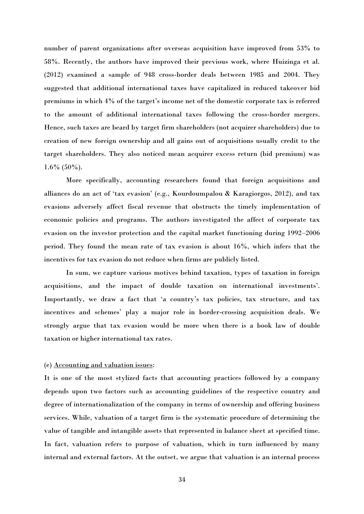number of parent organizations after overseas acquisition have improved from 53% to 58%. Recently, the authors have improved their previous work, where Huizinga et al. (2012) examined a sample of 948 cross-border deals between 1985 and 2004. They suggested that additional international taxes have capitalized in reduced takeover bid premiums in which 4% of the target's income net of the domestic corporate tax is referred to the amount of additional international taxes following the cross-border mergers. Hence, such taxes are beard by target firm shareholders (not acquirer shareholders) due to creation of new foreign ownership and all gains out of acquisitions usually credit to the target shareholders. They also noticed mean acquirer excess return (bid premium) was  $1.6\%$  (50%).

More specifically, accounting researchers found that foreign acquisitions and alliances do an act of 'tax evasion' (e.g., Kourdoumpalou & Karagiorgos, 2012), and tax evasions adversely affect fiscal revenue that obstructs the timely implementation of economic policies and programs. The authors investigated the affect of corporate tax evasion on the investor protection and the capital market functioning during 1992–2006 period. They found the mean rate of tax evasion is about 16%, which infers that the incentives for tax evasion do not reduce when firms are publicly listed.

In sum, we capture various motives behind taxation, types of taxation in foreign acquisitions, and the impact of double taxation on international investments'. Importantly, we draw a fact that 'a country's tax policies, tax structure, and tax incentives and schemes' play a major role in border-crossing acquisition deals. We strongly argue that tax evasion would be more when there is a book law of double taxation or higher international tax rates.

## (e) Accounting and valuation issues:

It is one of the most stylized facts that accounting practices followed by a company depends upon two factors such as accounting guidelines of the respective country and degree of internationalization of the company in terms of ownership and offering business services. While, valuation of a target firm is the systematic procedure of determining the value of tangible and intangible assets that represented in balance sheet at specified time. In fact, valuation refers to purpose of valuation, which in turn influenced by many internal and external factors. At the outset, we argue that valuation is an internal process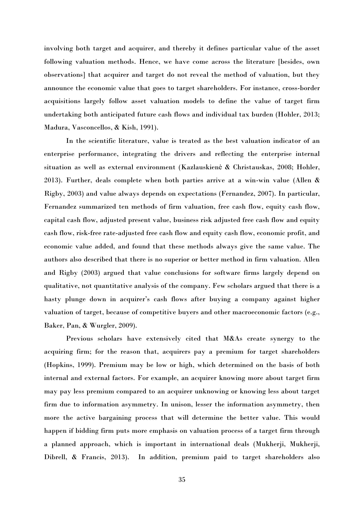involving both target and acquirer, and thereby it defines particular value of the asset following valuation methods. Hence, we have come across the literature [besides, own observations] that acquirer and target do not reveal the method of valuation, but they announce the economic value that goes to target shareholders. For instance, cross-border acquisitions largely follow asset valuation models to define the value of target firm undertaking both anticipated future cash flows and individual tax burden (Hohler, 2013; Madura, Vasconcellos, & Kish, 1991).

In the scientific literature, value is treated as the best valuation indicator of an enterprise performance, integrating the drivers and reflecting the enterprise internal situation as well as external environment (Kazlauskienė & Christauskas, 2008; Hohler, 2013). Further, deals complete when both parties arrive at a win-win value (Allen & Rigby, 2003) and value always depends on expectations (Fernandez, 2007). In particular, Fernandez summarized ten methods of firm valuation, free cash flow, equity cash flow, capital cash flow, adjusted present value, business risk adjusted free cash flow and equity cash flow, risk-free rate-adjusted free cash flow and equity cash flow, economic profit, and economic value added, and found that these methods always give the same value. The authors also described that there is no superior or better method in firm valuation. Allen and Rigby (2003) argued that value conclusions for software firms largely depend on qualitative, not quantitative analysis of the company. Few scholars argued that there is a hasty plunge down in acquirer's cash flows after buying a company against higher valuation of target, because of competitive buyers and other macroeconomic factors (e.g., Baker, Pan, & Wurgler, 2009).

Previous scholars have extensively cited that M&As create synergy to the acquiring firm; for the reason that, acquirers pay a premium for target shareholders (Hopkins, 1999). Premium may be low or high, which determined on the basis of both internal and external factors. For example, an acquirer knowing more about target firm may pay less premium compared to an acquirer unknowing or knowing less about target firm due to information asymmetry. In unison, lesser the information asymmetry, then more the active bargaining process that will determine the better value. This would happen if bidding firm puts more emphasis on valuation process of a target firm through a planned approach, which is important in international deals (Mukherji, Mukherji, Dibrell, & Francis, 2013). In addition, premium paid to target shareholders also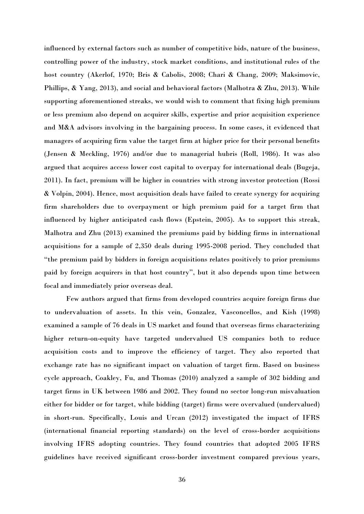influenced by external factors such as number of competitive bids, nature of the business, controlling power of the industry, stock market conditions, and institutional rules of the host country (Akerlof, 1970; Bris & Cabolis, 2008; Chari & Chang, 2009; Maksimovic, Phillips, & Yang, 2013), and social and behavioral factors (Malhotra & Zhu, 2013). While supporting aforementioned streaks, we would wish to comment that fixing high premium or less premium also depend on acquirer skills, expertise and prior acquisition experience and M&A advisors involving in the bargaining process. In some cases, it evidenced that managers of acquiring firm value the target firm at higher price for their personal benefits (Jensen & Meckling, 1976) and/or due to managerial hubris (Roll, 1986). It was also argued that acquires access lower cost capital to overpay for international deals (Bugeja, 2011). In fact, premium will be higher in countries with strong investor protection (Rossi & Volpin, 2004). Hence, most acquisition deals have failed to create synergy for acquiring firm shareholders due to overpayment or high premium paid for a target firm that influenced by higher anticipated cash flows (Epstein, 2005). As to support this streak, Malhotra and Zhu (2013) examined the premiums paid by bidding firms in international acquisitions for a sample of 2,350 deals during 1995-2008 period. They concluded that "the premium paid by bidders in foreign acquisitions relates positively to prior premiums paid by foreign acquirers in that host country", but it also depends upon time between focal and immediately prior overseas deal.

Few authors argued that firms from developed countries acquire foreign firms due to undervaluation of assets. In this vein, Gonzalez, Vasconcellos, and Kish (1998) examined a sample of 76 deals in US market and found that overseas firms characterizing higher return-on-equity have targeted undervalued US companies both to reduce acquisition costs and to improve the efficiency of target. They also reported that exchange rate has no significant impact on valuation of target firm. Based on business cycle approach, Coakley, Fu, and Thomas (2010) analyzed a sample of 302 bidding and target firms in UK between 1986 and 2002. They found no sector long-run misvaluation either for bidder or for target, while bidding (target) firms were overvalued (undervalued) in short-run. Specifically, Louis and Urcan (2012) investigated the impact of IFRS (international financial reporting standards) on the level of cross-border acquisitions involving IFRS adopting countries. They found countries that adopted 2005 IFRS guidelines have received significant cross-border investment compared previous years,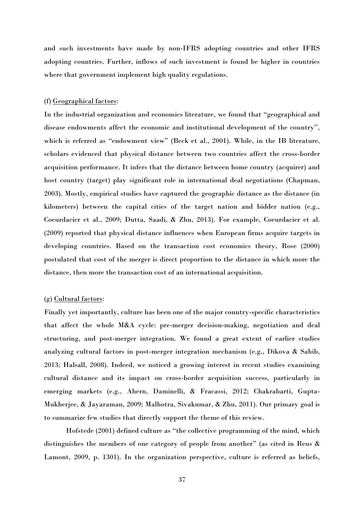and such investments have made by non-IFRS adopting countries and other IFRS adopting countries. Further, inflows of such investment is found be higher in countries where that government implement high quality regulations.

## (f) Geographical factors:

In the industrial organization and economics literature, we found that "geographical and disease endowments affect the economic and institutional development of the country", which is referred as "endowment view" (Beck et al., 2001). While, in the IB literature, scholars evidenced that physical distance between two countries affect the cross-border acquisition performance. It infers that the distance between home country (acquirer) and host country (target) play significant role in international deal negotiations (Chapman, 2003). Mostly, empirical studies have captured the geographic distance as the distance (in kilometers) between the capital cities of the target nation and bidder nation (e.g., Coeurdacier et al., 2009; Dutta, Saadi, & Zhu, 2013). For example, Coeurdacier et al. (2009) reported that physical distance influences when European firms acquire targets in developing countries. Based on the transaction cost economics theory, Rose (2000) postulated that cost of the merger is direct proportion to the distance in which more the distance, then more the transaction cost of an international acquisition.

## (g) Cultural factors:

Finally yet importantly, culture has been one of the major country-specific characteristics that affect the whole M&A cycle: pre-merger decision-making, negotiation and deal structuring, and post-merger integration. We found a great extent of earlier studies analyzing cultural factors in post-merger integration mechanism (e.g., Dikova & Sahib, 2013; Halsall, 2008). Indeed, we noticed a growing interest in recent studies examining cultural distance and its impact on cross-border acquisition success, particularly in emerging markets (e.g., Ahern, Daminelli, & Fracassi, 2012; Chakrabarti, Gupta-Mukherjee, & Jayaraman, 2009; Malhotra, Sivakumar, & Zhu, 2011). Our primary goal is to summarize few studies that directly support the theme of this review.

Hofstede (2001) defined culture as "the collective programming of the mind, which distinguishes the members of one category of people from another" (as cited in Reus & Lamont, 2009, p. 1301). In the organization perspective, culture is referred as beliefs,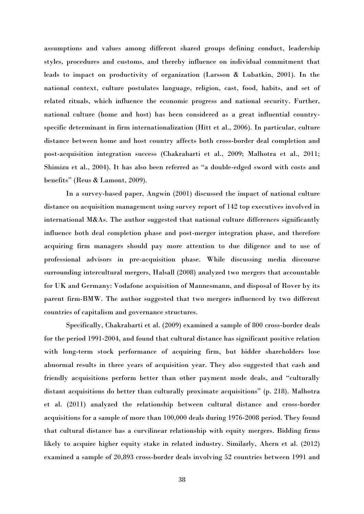assumptions and values among different shared groups defining conduct, leadership styles, procedures and customs, and thereby influence on individual commitment that leads to impact on productivity of organization (Larsson & Lubatkin, 2001). In the national context, culture postulates language, religion, cast, food, habits, and set of related rituals, which influence the economic progress and national security. Further, national culture (home and host) has been considered as a great influential countryspecific determinant in firm internationalization (Hitt et al., 2006). In particular, culture distance between home and host country affects both cross-border deal completion and post-acquisition integration success (Chakrabarti et al., 2009; Malhotra et al., 2011; Shimizu et al., 2004). It has also been referred as "a double-edged sword with costs and benefits" (Reus & Lamont, 2009).

In a survey-based paper, Angwin (2001) discussed the impact of national culture distance on acquisition management using survey report of 142 top executives involved in international M&As. The author suggested that national culture differences significantly influence both deal completion phase and post-merger integration phase, and therefore acquiring firm managers should pay more attention to due diligence and to use of professional advisors in pre-acquisition phase. While discussing media discourse surrounding intercultural mergers, Halsall (2008) analyzed two mergers that accountable for UK and Germany: Vodafone acquisition of Mannesmann, and disposal of Rover by its parent firm-BMW. The author suggested that two mergers influenced by two different countries of capitalism and governance structures.

Specifically, Chakrabarti et al. (2009) examined a sample of 800 cross-border deals for the period 1991-2004, and found that cultural distance has significant positive relation with long-term stock performance of acquiring firm, but bidder shareholders lose abnormal results in three years of acquisition year. They also suggested that cash and friendly acquisitions perform better than other payment mode deals, and "culturally distant acquisitions do better than culturally proximate acquisitions" (p. 218). Malhotra et al. (2011) analyzed the relationship between cultural distance and cross-border acquisitions for a sample of more than 100,000 deals during 1976-2008 period. They found that cultural distance has a curvilinear relationship with equity mergers. Bidding firms likely to acquire higher equity stake in related industry. Similarly, Ahern et al. (2012) examined a sample of 20,893 cross-border deals involving 52 countries between 1991 and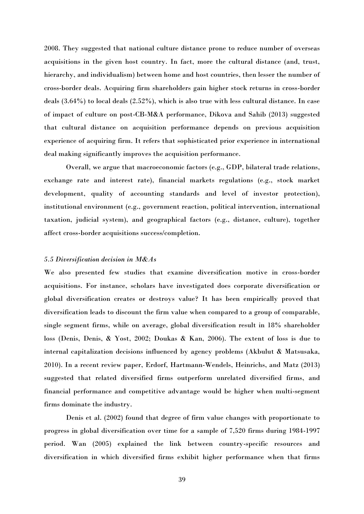2008. They suggested that national culture distance prone to reduce number of overseas acquisitions in the given host country. In fact, more the cultural distance (and, trust, hierarchy, and individualism) between home and host countries, then lesser the number of cross-border deals. Acquiring firm shareholders gain higher stock returns in cross-border deals (3.64%) to local deals (2.52%), which is also true with less cultural distance. In case of impact of culture on post-CB-M&A performance, Dikova and Sahib (2013) suggested that cultural distance on acquisition performance depends on previous acquisition experience of acquiring firm. It refers that sophisticated prior experience in international deal making significantly improves the acquisition performance.

Overall, we argue that macroeconomic factors (e.g., GDP, bilateral trade relations, exchange rate and interest rate), financial markets regulations (e.g., stock market development, quality of accounting standards and level of investor protection), institutional environment (e.g., government reaction, political intervention, international taxation, judicial system), and geographical factors (e.g., distance, culture), together affect cross-border acquisitions success/completion.

### *5.5 Diversification decision in M&As*

We also presented few studies that examine diversification motive in cross-border acquisitions. For instance, scholars have investigated does corporate diversification or global diversification creates or destroys value? It has been empirically proved that diversification leads to discount the firm value when compared to a group of comparable, single segment firms, while on average, global diversification result in 18% shareholder loss (Denis, Denis, & Yost, 2002; Doukas & Kan, 2006). The extent of loss is due to internal capitalization decisions influenced by agency problems (Akbulut & Matsusaka, 2010). In a recent review paper, Erdorf, Hartmann-Wendels, Heinrichs, and Matz (2013) suggested that related diversified firms outperform unrelated diversified firms, and financial performance and competitive advantage would be higher when multi-segment firms dominate the industry.

Denis et al. (2002) found that degree of firm value changes with proportionate to progress in global diversification over time for a sample of 7,520 firms during 1984-1997 period. Wan (2005) explained the link between country-specific resources and diversification in which diversified firms exhibit higher performance when that firms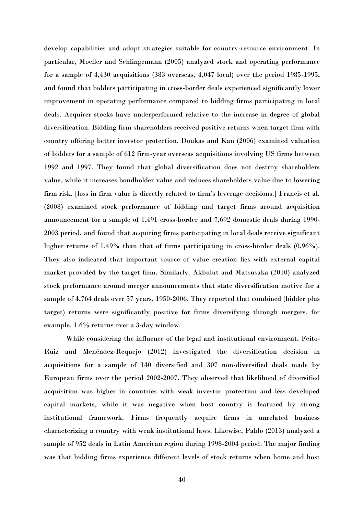develop capabilities and adopt strategies suitable for country-resource environment. In particular, Moeller and Schlingemann (2005) analyzed stock and operating performance for a sample of 4,430 acquisitions (383 overseas, 4,047 local) over the period 1985-1995, and found that bidders participating in cross-border deals experienced significantly lower improvement in operating performance compared to bidding firms participating in local deals. Acquirer stocks have underperformed relative to the increase in degree of global diversification. Bidding firm shareholders received positive returns when target firm with country offering better investor protection. Doukas and Kan (2006) examined valuation of bidders for a sample of 612 firm-year overseas acquisitions involving US firms between 1992 and 1997. They found that global diversification does not destroy shareholders value, while it increases bondholder value and reduces shareholders value due to lowering firm risk. [loss in firm value is directly related to firm's leverage decisions.] Francis et al. (2008) examined stock performance of bidding and target firms around acquisition announcement for a sample of 1,491 cross-border and 7,692 domestic deals during 1990- 2003 period, and found that acquiring firms participating in local deals receive significant higher returns of 1.49% than that of firms participating in cross-border deals  $(0.96\%)$ . They also indicated that important source of value creation lies with external capital market provided by the target firm. Similarly, Akbulut and Matsusaka (2010) analyzed stock performance around merger announcements that state diversification motive for a sample of 4,764 deals over 57 years, 1950-2006. They reported that combined (bidder plus target) returns were significantly positive for firms diversifying through mergers, for example, 1.6% returns over a 3-day window.

While considering the influence of the legal and institutional environment, Feito-Ruiz and Menéndez-Requejo (2012) investigated the diversification decision in acquisitions for a sample of 140 diversified and 307 non-diversified deals made by European firms over the period 2002-2007. They observed that likelihood of diversified acquisition was higher in countries with weak investor protection and less developed capital markets, while it was negative when host country is featured by strong institutional framework. Firms frequently acquire firms in unrelated business characterizing a country with weak institutional laws. Likewise, Pablo (2013) analyzed a sample of 952 deals in Latin American region during 1998-2004 period. The major finding was that bidding firms experience different levels of stock returns when home and host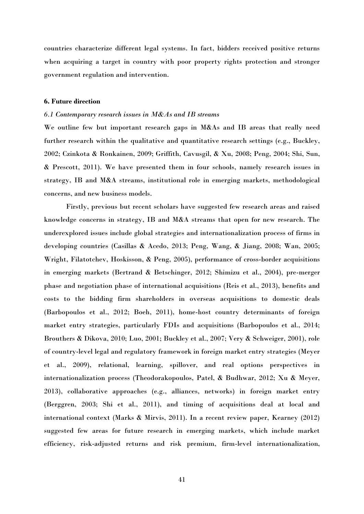countries characterize different legal systems. In fact, bidders received positive returns when acquiring a target in country with poor property rights protection and stronger government regulation and intervention.

#### **6. Future direction**

## *6.1 Contemporary research issues in M&As and IB streams*

We outline few but important research gaps in M&As and IB areas that really need further research within the qualitative and quantitative research settings (e.g., Buckley, 2002; Czinkota & Ronkainen, 2009; Griffith, Cavusgil, & Xu, 2008; Peng, 2004; Shi, Sun, & Prescott, 2011). We have presented them in four schools, namely research issues in strategy, IB and M&A streams, institutional role in emerging markets, methodological concerns, and new business models.

Firstly, previous but recent scholars have suggested few research areas and raised knowledge concerns in strategy, IB and M&A streams that open for new research. The underexplored issues include global strategies and internationalization process of firms in developing countries (Casillas & Acedo, 2013; Peng, Wang, & Jiang, 2008; Wan, 2005; Wright, Filatotchev, Hoskisson, & Peng, 2005), performance of cross-border acquisitions in emerging markets (Bertrand & Betschinger, 2012; Shimizu et al., 2004), pre-merger phase and negotiation phase of international acquisitions (Reis et al., 2013), benefits and costs to the bidding firm shareholders in overseas acquisitions to domestic deals (Barbopoulos et al., 2012; Boeh, 2011), home-host country determinants of foreign market entry strategies, particularly FDIs and acquisitions (Barbopoulos et al., 2014; Brouthers & Dikova, 2010; Luo, 2001; Buckley et al., 2007; Very & Schweiger, 2001), role of country-level legal and regulatory framework in foreign market entry strategies (Meyer et al., 2009), relational, learning, spillover, and real options perspectives in internationalization process (Theodorakopoulos, Patel, & Budhwar, 2012; Xu & Meyer, 2013), collaborative approaches (e.g., alliances, networks) in foreign market entry (Berggren, 2003; Shi et al., 2011), and timing of acquisitions deal at local and international context (Marks & Mirvis, 2011). In a recent review paper, Kearney (2012) suggested few areas for future research in emerging markets, which include market efficiency, risk-adjusted returns and risk premium, firm-level internationalization,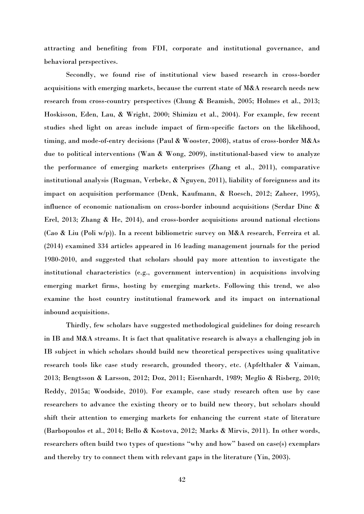attracting and benefiting from FDI, corporate and institutional governance, and behavioral perspectives.

Secondly, we found rise of institutional view based research in cross-border acquisitions with emerging markets, because the current state of M&A research needs new research from cross-country perspectives (Chung & Beamish, 2005; Holmes et al., 2013; Hoskisson, Eden, Lau, & Wright, 2000; Shimizu et al., 2004). For example, few recent studies shed light on areas include impact of firm-specific factors on the likelihood, timing, and mode-of-entry decisions (Paul & Wooster, 2008), status of cross-border M&As due to political interventions (Wan & Wong, 2009), institutional-based view to analyze the performance of emerging markets enterprises (Zhang et al., 2011), comparative institutional analysis (Rugman, Verbeke, & Nguyen, 2011), liability of foreignness and its impact on acquisition performance (Denk, Kaufmann, & Roesch, 2012; Zaheer, 1995), influence of economic nationalism on cross-border inbound acquisitions (Serdar Dinc & Erel, 2013; Zhang & He, 2014), and cross-border acquisitions around national elections (Cao & Liu (Poli w/p)). In a recent bibliometric survey on M&A research, Ferreira et al. (2014) examined 334 articles appeared in 16 leading management journals for the period 1980-2010, and suggested that scholars should pay more attention to investigate the institutional characteristics (e.g., government intervention) in acquisitions involving emerging market firms, hosting by emerging markets. Following this trend, we also examine the host country institutional framework and its impact on international inbound acquisitions.

Thirdly, few scholars have suggested methodological guidelines for doing research in IB and M&A streams. It is fact that qualitative research is always a challenging job in IB subject in which scholars should build new theoretical perspectives using qualitative research tools like case study research, grounded theory, etc. (Apfelthaler & Vaiman, 2013; Bengtsson & Larsson, 2012; Doz, 2011; Eisenhardt, 1989; Meglio & Risberg, 2010; Reddy, 2015a; Woodside, 2010). For example, case study research often use by case researchers to advance the existing theory or to build new theory, but scholars should shift their attention to emerging markets for enhancing the current state of literature (Barbopoulos et al., 2014; Bello & Kostova, 2012; Marks & Mirvis, 2011). In other words, researchers often build two types of questions "why and how" based on case(s) exemplars and thereby try to connect them with relevant gaps in the literature (Yin, 2003).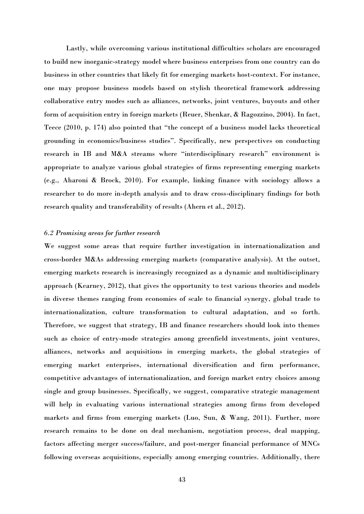Lastly, while overcoming various institutional difficulties scholars are encouraged to build new inorganic-strategy model where business enterprises from one country can do business in other countries that likely fit for emerging markets host-context. For instance, one may propose business models based on stylish theoretical framework addressing collaborative entry modes such as alliances, networks, joint ventures, buyouts and other form of acquisition entry in foreign markets (Reuer, Shenkar, & Ragozzino, 2004). In fact, Teece (2010, p. 174) also pointed that "the concept of a business model lacks theoretical grounding in economics/business studies". Specifically, new perspectives on conducting research in IB and M&A streams where "interdisciplinary research" environment is appropriate to analyze various global strategies of firms representing emerging markets (e.g., Aharoni & Brock, 2010). For example, linking finance with sociology allows a researcher to do more in-depth analysis and to draw cross-disciplinary findings for both research quality and transferability of results (Ahern et al., 2012).

#### *6.2 Promising areas for further research*

We suggest some areas that require further investigation in internationalization and cross-border M&As addressing emerging markets (comparative analysis). At the outset, emerging markets research is increasingly recognized as a dynamic and multidisciplinary approach (Kearney, 2012), that gives the opportunity to test various theories and models in diverse themes ranging from economies of scale to financial synergy, global trade to internationalization, culture transformation to cultural adaptation, and so forth. Therefore, we suggest that strategy, IB and finance researchers should look into themes such as choice of entry-mode strategies among greenfield investments, joint ventures, alliances, networks and acquisitions in emerging markets, the global strategies of emerging market enterprises, international diversification and firm performance, competitive advantages of internationalization, and foreign market entry choices among single and group businesses. Specifically, we suggest, comparative strategic management will help in evaluating various international strategies among firms from developed markets and firms from emerging markets (Luo, Sun, & Wang, 2011). Further, more research remains to be done on deal mechanism, negotiation process, deal mapping, factors affecting merger success/failure, and post-merger financial performance of MNCs following overseas acquisitions, especially among emerging countries. Additionally, there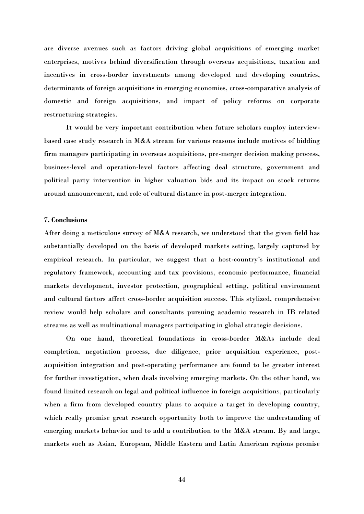are diverse avenues such as factors driving global acquisitions of emerging market enterprises, motives behind diversification through overseas acquisitions, taxation and incentives in cross-border investments among developed and developing countries, determinants of foreign acquisitions in emerging economies, cross-comparative analysis of domestic and foreign acquisitions, and impact of policy reforms on corporate restructuring strategies.

It would be very important contribution when future scholars employ interviewbased case study research in M&A stream for various reasons include motives of bidding firm managers participating in overseas acquisitions, pre-merger decision making process, business-level and operation-level factors affecting deal structure, government and political party intervention in higher valuation bids and its impact on stock returns around announcement, and role of cultural distance in post-merger integration.

## **7. Conclusions**

After doing a meticulous survey of M&A research, we understood that the given field has substantially developed on the basis of developed markets setting, largely captured by empirical research. In particular, we suggest that a host-country's institutional and regulatory framework, accounting and tax provisions, economic performance, financial markets development, investor protection, geographical setting, political environment and cultural factors affect cross-border acquisition success. This stylized, comprehensive review would help scholars and consultants pursuing academic research in IB related streams as well as multinational managers participating in global strategic decisions.

On one hand, theoretical foundations in cross-border M&As include deal completion, negotiation process, due diligence, prior acquisition experience, postacquisition integration and post-operating performance are found to be greater interest for further investigation, when deals involving emerging markets. On the other hand, we found limited research on legal and political influence in foreign acquisitions, particularly when a firm from developed country plans to acquire a target in developing country, which really promise great research opportunity both to improve the understanding of emerging markets behavior and to add a contribution to the M&A stream. By and large, markets such as Asian, European, Middle Eastern and Latin American regions promise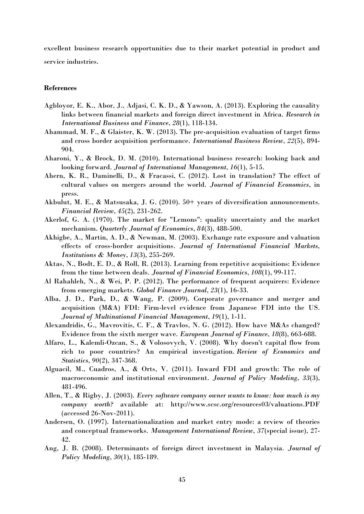excellent business research opportunities due to their market potential in product and service industries.

## **References**

- Agbloyor, E. K., Abor, J., Adjasi, C. K. D., & Yawson, A. (2013). Exploring the causality links between financial markets and foreign direct investment in Africa. *Research in International Business and Finance*, *28*(1), 118-134.
- Ahammad, M. F., & Glaister, K. W. (2013). The pre-acquisition evaluation of target firms and cross border acquisition performance. *International Business Review*, *22*(5), 894- 904.
- Aharoni, Y., & Brock, D. M. (2010). International business research: looking back and looking forward. *Journal of International Management*, *16*(1), 5-15.
- Ahern, K. R., Daminelli, D., & Fracassi, C. (2012). Lost in translation? The effect of cultural values on mergers around the world. *Journal of Financial Economics*, in press.
- Akbulut, M. E., & Matsusaka, J. G. (2010). 50+ years of diversification announcements. *Financial Review*, *45*(2), 231-262.
- Akerlof, G. A. (1970). The market for "Lemons": quality uncertainty and the market mechanism. *Quarterly Journal of Economics*, *84*(3), 488-500.
- Akhigbe, A., Martin, A. D., & Newman, M. (2003). Exchange rate exposure and valuation effects of cross-border acquisitions. *Journal of International Financial Markets, Institutions & Money*, *13*(3), 255-269.
- Aktas, N., Bodt, E. D., & Roll, R. (2013). Learning from repetitive acquisitions: Evidence from the time between deals. *Journal of Financial Economics*, *108*(1), 99-117.
- Al Rahahleh, N., & Wei, P. P. (2012). The performance of frequent acquirers: Evidence from emerging markets. *Global Finance Journal*, *23*(1), 16-33.
- Alba, J. D., Park, D., & Wang, P. (2009). Corporate governance and merger and acquisition (M&A) FDI: Firm-level evidence from Japanese FDI into the US. *Journal of Multinational Financial Management*, *19*(1), 1-11.
- Alexandridis, G., Mavrovitis, C. F., & Travlos, N. G. (2012). How have M&As changed? Evidence from the sixth merger wave. *European Journal of Finance*, *18*(8), 663-688.
- Alfaro, L., Kalemli-Ozcan, S., & Volosovych, V. (2008). Why doesn't capital flow from rich to poor countries? An empirical investigation. *Review of Economics and Statistics*, *90*(2), 347-368.
- Alguacil, M., Cuadros, A., & Orts, V. (2011). Inward FDI and growth: The role of macroeconomic and institutional environment. *Journal of Policy Modeling*, *33*(3), 481-496.
- Allen, T., & Rigby, J. (2003). *Every software company owner wants to know: how much is my company worth?* available at: http://www.scsc.org/resources03/valuations.PDF (accessed 26-Nov-2011).
- Andersen, O. (1997). Internationalization and market entry mode: a review of theories and conceptual frameworks. *Management International Review*, *37*(special issue), 27- 42.
- Ang, J. B. (2008). Determinants of foreign direct investment in Malaysia. *Journal of Policy Modeling*, *30*(1), 185-189.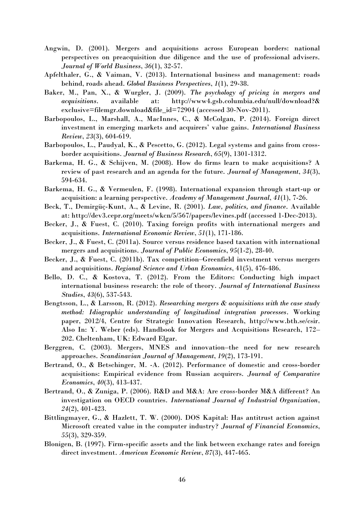- Angwin, D. (2001). Mergers and acquisitions across European borders: national perspectives on preacquisition due diligence and the use of professional advisers. *Journal of World Business*, *36*(1), 32-57.
- Apfelthaler, G., & Vaiman, V. (2013). International business and management: roads behind, roads ahead. *Global Business Perspectives*, *1*(1), 29-38.
- Baker, M., Pan, X., & Wurgler, J. (2009). *The psychology of pricing in mergers and acquisitions*. available at: http://www4.gsb.columbia.edu/null/download?& exclusive=filemgr.download&file\_id=72904 (accessed 30-Nov-2011).
- Barbopoulos, L., Marshall, A., MacInnes, C., & McColgan, P. (2014). Foreign direct investment in emerging markets and acquirers' value gains. *International Business Review*, *23*(3), 604-619.
- Barbopoulos, L., Paudyal, K., & Pescetto, G. (2012). Legal systems and gains from crossborder acquisitions. *Journal of Business Research*, *65*(9), 1301-1312.
- Barkema, H. G., & Schijven, M. (2008). How do firms learn to make acquisitions? A review of past research and an agenda for the future. *Journal of Management*, *34*(3), 594-634.
- Barkema, H. G., & Vermeulen, F. (1998). International expansion through start-up or acquisition: a learning perspective. *Academy of Management Journal*, *41*(1), 7-26.
- Beck, T., Demirgüç-Kunt, A., & Levine, R. (2001). *Law, politics, and finance*. Available at:<http://dev3.cepr.org/meets/wkcn/5/567/papers/levines.pdf>(accessed 1-Dec-2013).
- Becker, J., & Fuest, C. (2010). Taxing foreign profits with international mergers and acquisitions. *International Economic Review*, *51*(1), 171-186.
- Becker, J., & Fuest, C. (2011a). Source versus residence based taxation with international mergers and acquisitions. *Journal of Public Economics*, *95*(1-2), 28-40.
- Becker, J., & Fuest, C. (2011b). Tax competition–Greenfield investment versus mergers and acquisitions. *Regional Science and Urban Economics*, 41(5), 476-486.
- Bello, D. C., & Kostova, T. (2012). From the Editors: Conducting high impact international business research: the role of theory. *Journal of International Business Studies*, *43*(6), 537-543.
- Bengtsson, L., & Larsson, R. (2012). *Researching mergers & acquisitions with the case study method: Idiographic understanding of longitudinal integration processes*. Working paper, 2012/4, Centre for Strategic Innovation Research, [http://www.bth.se/csir.](http://www.bth.se/csir) Also In: Y. Weber (eds). Handbook for Mergers and Acquisitions Research, 172– 202. Cheltenham, UK: Edward Elgar.
- Berggren, C. (2003). Mergers, MNES and innovation–the need for new research approaches. *Scandinavian Journal of Management*, *19*(2), 173-191.
- Bertrand, O., & Betschinger, M. -A. (2012). Performance of domestic and cross-border acquisitions: Empirical evidence from Russian acquirers. *Journal of Comparative Economics*, *40*(3), 413-437.
- Bertrand, O., & Zuniga, P. (2006). R&D and M&A: Are cross-border M&A different? An investigation on OECD countries. *International Journal of Industrial Organization*, *24*(2), 401-423.
- Bittlingmayer, G., & Hazlett, T. W. (2000). DOS Kapital: Has antitrust action against Microsoft created value in the computer industry? *Journal of Financial Economics*, *55*(3), 329-359.
- Blonigen, B. (1997). Firm-specific assets and the link between exchange rates and foreign direct investment. *American Economic Review*, *87*(3), 447-465.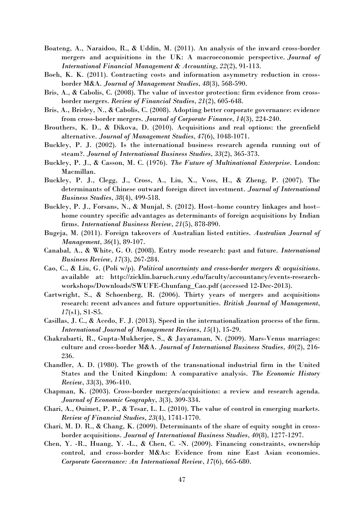- Boateng, A., Naraidoo, R., & Uddin, M. (2011). An analysis of the inward cross-border mergers and acquisitions in the UK: A macroeconomic perspective. *Journal of International Financial Management & Accounting*, *22*(2), 91-113.
- Boeh, K. K. (2011). Contracting costs and information asymmetry reduction in crossborder M&A. *Journal of Management Studies*, *48*(3), 568-590.
- Bris, A., & Cabolis, C. (2008). The value of investor protection: firm evidence from crossborder mergers. *Review of Financial Studies*, *21*(2), 605-648.
- Bris, A., Brisley, N., & Cabolis, C. (2008). Adopting better corporate governance: evidence from cross-border mergers. *Journal of Corporate Finance*, *14*(3), 224-240.
- Brouthers, K. D., & Dikova, D. (2010). Acquisitions and real options: the greenfield alternative. *Journal of Management Studies*, *47*(6), 1048-1071.
- Buckley, P. J. (2002). Is the international business research agenda running out of steam?. *Journal of International Business Studies*, *33*(2), 365-373.
- Buckley, P. J., & Casson, M. C. (1976). *The Future of Multinational Enterprise*. London: Macmillan.
- Buckley, P. J., Clegg, J., Cross, A., Liu, X., Voss, H., & Zheng, P. (2007). The determinants of Chinese outward foreign direct investment. *Journal of International Business Studies*, *38*(4), 499-518.
- Buckley, P. J., Forsans, N., & Munjal, S. (2012). Host–home country linkages and host– home country specific advantages as determinants of foreign acquisitions by Indian firms. *International Business Review*, *21*(5), 878-890.
- Bugeja, M. (2011). Foreign takeovers of Australian listed entities. *Australian Journal of Management*, *36*(1), 89-107.
- Canabal, A., & White, G. O. (2008). Entry mode research: past and future. *International Business Review*, *17*(3), 267-284.
- Cao, C., & Liu, G. (Poli w/p). *Political uncertainty and cross-border mergers & acquisitions*. available at: [http://zicklin.baruch.cuny.edu/faculty/accountancy/events-research](http://zicklin.baruch.cuny.edu/faculty/accountancy/events-research-workshops/Downloads/SWUFE-Chunfang_Cao.pdf)[workshops/Downloads/SWUFE-Chunfang\\_Cao.pdf](http://zicklin.baruch.cuny.edu/faculty/accountancy/events-research-workshops/Downloads/SWUFE-Chunfang_Cao.pdf) (accessed 12-Dec-2013).
- Cartwright, S., & Schoenberg, R. (2006). Thirty years of mergers and acquisitions research: recent advances and future opportunities. *British Journal of Management*, *17*(s1), S1-S5.
- Casillas, J. C., & Acedo, F. J. (2013). Speed in the internationalization process of the firm. *International Journal of Management Reviews*, *15*(1), 15-29.
- Chakrabarti, R., Gupta-Mukherjee, S., & Jayaraman, N. (2009). Mars-Venus marriages: culture and cross-border M&A. *Journal of International Business Studies*, *40*(2), 216- 236.
- Chandler, A. D. (1980). The growth of the transnational industrial firm in the United States and the United Kingdom: A comparative analysis. *The Economic History Review*, *33*(3), 396-410.
- Chapman, K. (2003). Cross-border mergers/acquisitions: a review and research agenda. *Journal of Economic Geography*, *3*(3), 309-334.
- Chari, A., Ouimet, P. P., & Tesar, L. L. (2010). The value of control in emerging markets. *Review of Financial Studies*, *23*(4), 1741-1770.
- Chari, M. D. R., & Chang, K. (2009). Determinants of the share of equity sought in crossborder acquisitions. *Journal of International Business Studies*, *40*(8), 1277-1297.
- Chen, Y. -R., Huang, Y. -L., & Chen, C. -N. (2009). Financing constraints, ownership control, and cross-border M&As: Evidence from nine East Asian economies. *Corporate Governance: An International Review*, *17*(6), 665-680.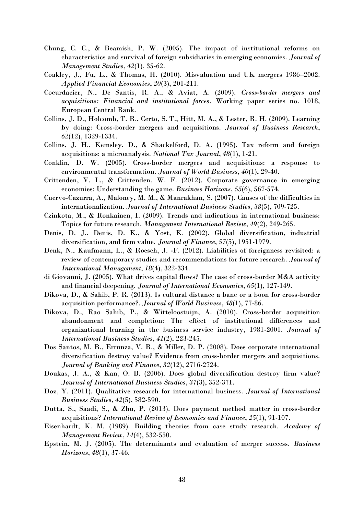- Chung, C. C., & Beamish, P. W. (2005). The impact of institutional reforms on characteristics and survival of foreign subsidiaries in emerging economies. *Journal of Management Studies*, *42*(1), 35-62.
- Coakley, J., Fu, L., & Thomas, H. (2010). Misvaluation and UK mergers 1986–2002. *Applied Financial Economics*, *20*(3), 201-211.
- Coeurdacier, N., De Santis, R. A., & Aviat, A. (2009). *Cross-border mergers and acquisitions: Financial and institutional forces*. Working paper series no. 1018, European Central Bank.
- Collins, J. D., Holcomb, T. R., Certo, S. T., Hitt, M. A., & Lester, R. H. (2009). Learning by doing: Cross-border mergers and acquisitions. *Journal of Business Research*, *62*(12), 1329-1334.
- Collins, J. H., Kemsley, D., & Shackelford, D. A. (1995). Tax reform and foreign acquisitions: a microanalysis. *National Tax Journal*, *48*(1), 1-21.
- Conklin, D. W. (2005). Cross-border mergers and acquisitions: a response to environmental transformation. *Journal of World Business*, *40*(1), 29-40.
- Crittenden, V. L., & Crittenden, W. F. (2012). Corporate governance in emerging economies: Understanding the game. *Business Horizons*, *55*(6), 567-574.
- Cuervo-Cazurra, A., Maloney, M. M., & Manrakhan, S. (2007). Causes of the difficulties in internationalization. *Journal of International Business Studies*, *38*(5), 709-725.
- Czinkota, M., & Ronkainen, I. (2009). Trends and indications in international business: Topics for future research. *Management International Review*, *49*(2), 249-265.
- Denis, D. J., Denis, D. K., & Yost, K. (2002). Global diversification, industrial diversification, and firm value. *Journal of Finance*, *57*(5), 1951-1979.
- Denk, N., Kaufmann, L., & Roesch, J. -F. (2012). Liabilities of foreignness revisited: a review of contemporary studies and recommendations for future research. *Journal of International Management*, *18*(4), 322-334.
- di Giovanni, J. (2005). What drives capital flows? The case of cross-border M&A activity and financial deepening. *Journal of International Economics*, *65*(1), 127-149.
- Dikova, D., & Sahib, P. R. (2013). Is cultural distance a bane or a boon for cross-border acquisition performance?. *Journal of World Business*, *48*(1), 77-86.
- Dikova, D., Rao Sahib, P., & Witteloostuijn, A. (2010). Cross-border acquisition abandonment and completion: The effect of institutional differences and organizational learning in the business service industry, 1981-2001. *Journal of International Business Studies*, *41*(2), 223-245.
- Dos Santos, M. B., Errunza, V. R., & Miller, D. P. (2008). Does corporate international diversification destroy value? Evidence from cross-border mergers and acquisitions. *Journal of Banking and Finance*, *32*(12), 2716-2724.
- Doukas, J. A., & Kan, O. B. (2006). Does global diversification destroy firm value? *Journal of International Business Studies*, *37*(3), 352-371.
- Doz, Y. (2011). Qualitative research for international business. *Journal of International Business Studies*, *42*(5), 582-590.
- Dutta, S., Saadi, S., & Zhu, P. (2013). Does payment method matter in cross-border acquisitions? *International Review of Economics and Finance*, *25*(1), 91-107.
- Eisenhardt, K. M. (1989). Building theories from case study research. *Academy of Management Review*, *14*(4), 532-550.
- Epstein, M. J. (2005). The determinants and evaluation of merger success. *Business Horizons*, *48*(1), 37-46.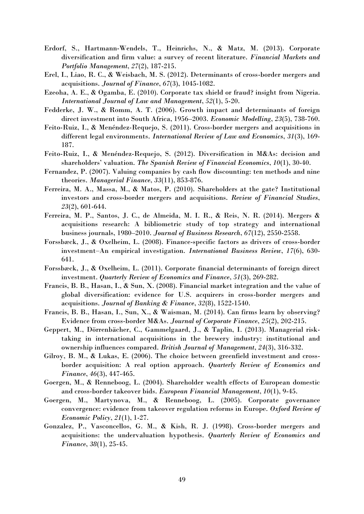- Erdorf, S., Hartmann-Wendels, T., Heinrichs, N., & Matz, M. (2013). Corporate diversification and firm value: a survey of recent literature. *Financial Markets and Portfolio Management*, *27*(2), 187-215.
- Erel, I., Liao, R. C., & Weisbach, M. S. (2012). Determinants of cross-border mergers and acquisitions. *Journal of Finance*, *67*(3), 1045-1082.
- Ezeoha, A. E., & Ogamba, E. (2010). Corporate tax shield or fraud? insight from Nigeria. *International Journal of Law and Management*, *52*(1), 5-20.
- Fedderke, J. W., & Romm, A. T. (2006). Growth impact and determinants of foreign direct investment into South Africa, 1956–2003. *Economic Modelling*, *23*(5), 738-760.
- Feito-Ruiz, I., & Menéndez-Requejo, S. (2011). Cross-border mergers and acquisitions in different legal environments. *International Review of Law and Economics*, *31*(3), 169- 187.
- Feito-Ruiz, I., & Menéndez-Requejo, S. (2012). Diversification in M&As: decision and shareholders' valuation. *The Spanish Review of Financial Economics*, *10*(1), 30-40.
- Fernandez, P. (2007). Valuing companies by cash flow discounting: ten methods and nine theories. *Managerial Finance*, *33*(11), 853-876.
- Ferreira, M. A., Massa, M., & Matos, P. (2010). Shareholders at the gate? Institutional investors and cross-border mergers and acquisitions. *Review of Financial Studies*, *23*(2), 601-644.
- Ferreira, M. P., Santos, J. C., de Almeida, M. I. R., & Reis, N. R. (2014). Mergers & acquisitions research: A bibliometric study of top strategy and international business journals, 1980–2010. *Journal of Business Research*, *67*(12), 2550-2558.
- Forssbæck, J., & Oxelheim, L. (2008). Finance-specific factors as drivers of cross-border investment‒An empirical investigation. *International Business Review*, *17*(6), 630- 641.
- Forssbæck, J., & Oxelheim, L. (2011). Corporate financial determinants of foreign direct investment. *Quarterly Review of Economics and Finance*, *51*(3), 269-282.
- Francis, B. B., Hasan, I., & Sun, X. (2008). Financial market integration and the value of global diversification: evidence for U.S. acquirers in cross-border mergers and acquisitions. *Journal of Banking & Finance*, *32*(8), 1522-1540.
- Francis, B. B., Hasan, I., Sun, X., & Waisman, M. (2014). Can firms learn by observing? Evidence from cross-border M&As. *Journal of Corporate Finance*, *25*(2), 202-215.
- Geppert, M., Dörrenbächer, C., Gammelgaard, J., & Taplin, I. (2013). Managerial risktaking in international acquisitions in the brewery industry: institutional and ownership influences compared. *British Journal of Management*, *24*(3), 316-332.
- Gilroy, B. M., & Lukas, E. (2006). The choice between greenfield investment and crossborder acquisition: A real option approach. *Quarterly Review of Economics and Finance*, *46*(3), 447-465.
- Goergen, M., & Renneboog, L. (2004). Shareholder wealth effects of European domestic and cross-border takeover bids. *European Financial Management*, *10*(1), 9-45.
- Goergen, M., Martynova, M., & Renneboog, L. (2005). Corporate governance convergence: evidence from takeover regulation reforms in Europe. *Oxford Review of Economic Policy*, *21*(1), 1-27.
- Gonzalez, P., Vasconcellos, G. M., & Kish, R. J. (1998). Cross-border mergers and acquisitions: the undervaluation hypothesis. *Quarterly Review of Economics and Finance*, *38*(1), 25-45.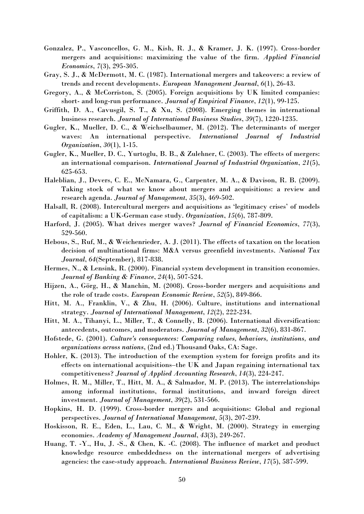- Gonzalez, P., Vasconcellos, G. M., Kish, R. J., & Kramer, J. K. (1997). Cross-border mergers and acquisitions: maximizing the value of the firm. *Applied Financial Economics*, *7*(3), 295-305.
- Gray, S. J., & McDermott, M. C. (1987). International mergers and takeovers: a review of trends and recent developments. *European Management Journal*, *6*(1), 26-43.
- Gregory, A., & McCorriston, S. (2005). Foreign acquisitions by UK limited companies: short- and long-run performance. *Journal of Empirical Finance*, *12*(1), 99-125.
- Griffith, D. A., Cavusgil, S. T., & Xu, S. (2008). Emerging themes in international business research. *Journal of International Business Studies*, *39*(7), 1220-1235.
- Gugler, K., Mueller, D. C., & Weichselbaumer, M. (2012). The determinants of merger waves: An international perspective. *International Journal of Industrial Organization*, *30*(1), 1-15.
- Gugler, K., Mueller, D. C., Yurtoglu, B. B., & Zulehner, C. (2003). The effects of mergers: an international comparison. *International Journal of Industrial Organization*, *21*(5), 625-653.
- Haleblian, J., Devers, C. E., McNamara, G., Carpenter, M. A., & Davison, R. B. (2009). Taking stock of what we know about mergers and acquisitions: a review and research agenda. *Journal of Management*, *35*(3), 469-502.
- Halsall, R. (2008). Intercultural mergers and acquisitions as 'legitimacy crises' of models of capitalism: a UK-German case study. *Organization*, *15*(6), 787-809.
- Harford, J. (2005). What drives merger waves? *Journal of Financial Economics*, *77*(3), 529-560.
- Hebous, S., Ruf, M., & Weichenrieder, A. J. (2011). The effects of taxation on the location decision of multinational firms: M&A versus greenfield investments. *National Tax Journal*, *64*(September), 817-838.
- Hermes, N., & Lensink, R. (2000). Financial system development in transition economies. *Journal of Banking & Finance*, *24*(4), 507-524.
- Hijzen, A., Görg, H., & Manchin, M. (2008). Cross-border mergers and acquisitions and the role of trade costs. *European Economic Review*, *52*(5), 849-866.
- Hitt, M. A., Franklin, V., & Zhu, H. (2006). Culture, institutions and international strategy. *Journal of International Management*, *12*(2), 222-234.
- Hitt, M. A., Tihanyi, L., Miller, T., & Connelly, B. (2006). International diversification: antecedents, outcomes, and moderators. *Journal of Management*, *32*(6), 831-867.
- Hofstede, G. (2001). *Culture's consequences: Comparing values, behaviors, institutions, and organizations across nations*, (2nd ed.) Thousand Oaks, CA: Sage.
- Hohler, K. (2013). The introduction of the exemption system for foreign profits and its effects on international acquisitions–the UK and Japan regaining international tax competitiveness? *Journal of Applied Accounting Research*, *14*(3), 224-247.
- Holmes, R. M., Miller, T., Hitt, M. A., & Salmador, M. P. (2013). The interrelationships among informal institutions, formal institutions, and inward foreign direct investment. *Journal of Management*, *39*(2), 531-566.
- Hopkins, H. D. (1999). Cross-border mergers and acquisitions: Global and regional perspectives. *Journal of International Management*, *5*(3), 207-239.
- Hoskisson, R. E., Eden, L., Lau, C. M., & Wright, M. (2000). Strategy in emerging economies. *Academy of Management Journal*, *43*(3), 249-267.
- Huang, T. -Y., Hu, J. -S., & Chen, K. -C. (2008). The influence of market and product knowledge resource embeddedness on the international mergers of advertising agencies: the case-study approach. *International Business Review*, *17*(5), 587-599.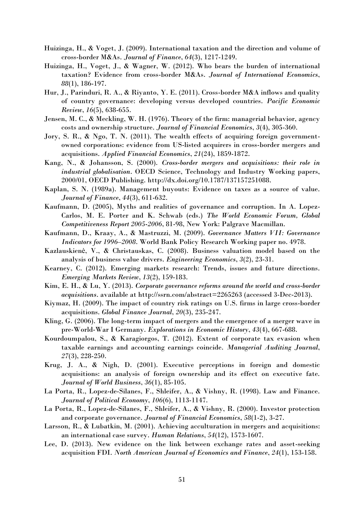- Huizinga, H., & Voget, J. (2009). International taxation and the direction and volume of cross-border M&As. *Journal of Finance*, *64*(3), 1217-1249.
- Huizinga, H., Voget, J., & Wagner, W. (2012). Who bears the burden of international taxation? Evidence from cross-border M&As. *Journal of International Economics*, *88*(1), 186-197.
- Hur, J., Parinduri, R. A., & Riyanto, Y. E. (2011). Cross-border M&A inflows and quality of country governance: developing versus developed countries. *Pacific Economic Review*, *16*(5), 638-655.
- Jensen, M. C., & Meckling, W. H. (1976). Theory of the firm: managerial behavior, agency costs and ownership structure. *Journal of Financial Economics*, *3*(4), 305-360.
- Jory, S. R., & Ngo, T. N. (2011). The wealth effects of acquiring foreign governmentowned corporations: evidence from US-listed acquirers in cross-border mergers and acquisitions. *Applied Financial Economics*, *21*(24), 1859-1872.
- Kang, N., & Johansson, S. (2000). *Cross-border mergers and acquisitions: their role in industrial globalisation*. OECD Science, Technology and Industry Working papers, 2000/01, OECD Publishing. [http://dx.doi.org/10.1787/137157251088.](http://dx.doi.org/10.1787/137157251088)
- Kaplan, S. N. (1989a). Management buyouts: Evidence on taxes as a source of value. *Journal of Finance*, *44*(3), 611-632.
- Kaufmann, D. (2005), Myths and realities of governance and corruption. In A. Lopez-Carlos, M. E. Porter and K. Schwab (eds.) *The World Economic Forum, Global Competitiveness Report 2005-2006*, 81-98, New York: Palgrave Macmillan.
- Kaufmann, D., Kraay, A., & Mastruzzi, M. (2009). *Governance Matters VII: Governance Indicators for 1996–2008*. World Bank Policy Research Working paper no. 4978.
- Kazlauskienė, V., & Christauskas, C. (2008). Business valuation model based on the analysis of business value drivers. *Engineering Economics*, *3*(2), 23-31.
- Kearney, C. (2012). Emerging markets research: Trends, issues and future directions. *Emerging Markets Review*, *13*(2), 159-183.
- Kim, E. H., & Lu, Y. (2013). *Corporate governance reforms around the world and cross-border acquisitions*. available at<http://ssrn.com/abstract=2265263>(accessed 3-Dec-2013).
- Kiymaz, H. (2009). The impact of country risk ratings on U.S. firms in large cross-border acquisitions. *Global Finance Journal*, *20*(3), 235-247.
- Kling, G. (2006). The long-term impact of mergers and the emergence of a merger wave in pre-World-War I Germany. *Explorations in Economic History*, *43*(4), 667-688.
- Kourdoumpalou, S., & Karagiorgos, T. (2012). Extent of corporate tax evasion when taxable earnings and accounting earnings coincide. *Managerial Auditing Journal*, *27*(3), 228-250.
- Krug, J. A., & Nigh, D. (2001). Executive perceptions in foreign and domestic acquisitions: an analysis of foreign ownership and its effect on executive fate. *Journal of World Business*, *36*(1), 85-105.
- La Porta, R., Lopez-de-Silanes, F., Shleifer, A., & Vishny, R. (1998). Law and Finance. *Journal of Political Economy*, *106*(6), 1113-1147.
- La Porta, R., Lopez-de-Silanes, F., Shleifer, A., & Vishny, R. (2000). Investor protection and corporate governance. *Journal of Financial Economics*, *58*(1-2), 3-27.
- Larsson, R., & Lubatkin, M. (2001). Achieving acculturation in mergers and acquisitions: an international case survey. *Human Relations*, *54*(12), 1573-1607.
- Lee, D. (2013). New evidence on the link between exchange rates and asset-seeking acquisition FDI. *North American Journal of Economics and Finance*, *24*(1), 153-158.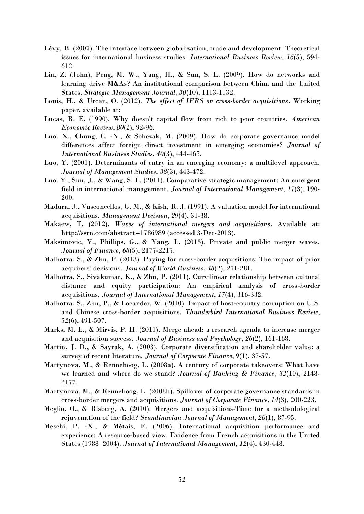- Lévy, B. (2007). The interface between globalization, trade and development: Theoretical issues for international business studies. *International Business Review*, *16*(5), 594- 612.
- Lin, Z. (John), Peng, M. W., Yang, H., & Sun, S. L. (2009). How do networks and learning drive M&As? An institutional comparison between China and the United States. *Strategic Management Journal*, *30*(10), 1113-1132.
- Louis, H., & Urcan, O. (2012). *The effect of IFRS on cross-border acquisitions*. Working paper, available at:
- Lucas, R. E. (1990). Why doesn't capital flow from rich to poor countries. *American Economic Review*, *80*(2), 92-96.
- Luo, X., Chung, C. -N., & Sobczak, M. (2009). How do corporate governance model differences affect foreign direct investment in emerging economies? *Journal of International Business Studies*, *40*(3), 444-467.
- Luo, Y. (2001). Determinants of entry in an emerging economy: a multilevel approach. *Journal of Management Studies*, *38*(3), 443-472.
- Luo, Y., Sun, J., & Wang, S. L. (2011). Comparative strategic management: An emergent field in international management. *Journal of International Management*, *17*(3), 190- 200.
- Madura, J., Vasconcellos, G. M., & Kish, R. J. (1991). A valuation model for international acquisitions. *Management Decision*, *29*(4), 31-38.
- Makaew, T. (2012). *Waves of international mergers and acquisitions*. Available at: <http://ssrn.com/abstract=1786989>(accessed 3-Dec-2013).
- Maksimovic, V., Phillips, G., & Yang, L. (2013). Private and public merger waves. *Journal of Finance*, *68*(5), 2177-2217.
- Malhotra, S., & Zhu, P. (2013). Paying for cross-border acquisitions: The impact of prior acquirers' decisions. *Journal of World Business*, *48*(2), 271-281.
- Malhotra, S., Sivakumar, K., & Zhu, P. (2011). Curvilinear relationship between cultural distance and equity participation: An empirical analysis of cross-border acquisitions. *Journal of International Management*, *17*(4), 316-332.
- Malhotra, S., Zhu, P., & Locander, W. (2010). Impact of host-country corruption on U.S. and Chinese cross-border acquisitions. *Thunderbird International Business Review*, *52*(6), 491-507.
- Marks, M. L., & Mirvis, P. H. (2011). Merge ahead: a research agenda to increase merger and acquisition success. *Journal of Business and Psychology*, *26*(2), 161-168.
- Martin, J. D., & Sayrak, A. (2003). Corporate diversification and shareholder value: a survey of recent literature. *Journal of Corporate Finance*, *9*(1), 37-57.
- Martynova, M., & Renneboog, L. (2008a). A century of corporate takeovers: What have we learned and where do we stand? *Journal of Banking & Finance*, *32*(10), 2148- 2177.
- Martynova, M., & Renneboog, L. (2008b). Spillover of corporate governance standards in cross-border mergers and acquisitions. *Journal of Corporate Finance*, *14*(3), 200-223.
- Meglio, O., & Risberg, A. (2010). Mergers and acquisitions-Time for a methodological rejuvenation of the field? *Scandinavian Journal of Management*, *26*(1), 87-95.
- Meschi, P. -X., & Métais, E. (2006). International acquisition performance and experience: A resource-based view. Evidence from French acquisitions in the United States (1988–2004). *Journal of International Management*, *12*(4), 430-448.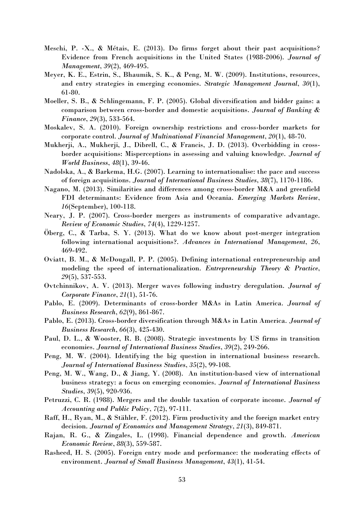- Meschi, P. -X., & Métais, E. (2013). Do firms forget about their past acquisitions? Evidence from French acquisitions in the United States (1988-2006). *Journal of Management*, *39*(2), 469-495.
- Meyer, K. E., Estrin, S., Bhaumik, S. K., & Peng, M. W. (2009). Institutions, resources, and entry strategies in emerging economies. *Strategic Management Journal*, *30*(1), 61-80.
- Moeller, S. B., & Schlingemann, F. P. (2005). Global diversification and bidder gains: a comparison between cross-border and domestic acquisitions. *Journal of Banking & Finance*, *29*(3), 533-564.
- Moskalev, S. A. (2010). Foreign ownership restrictions and cross-border markets for corporate control. *Journal of Multinational Financial Management*, *20*(1), 48-70.
- Mukherji, A., Mukherji, J., Dibrell, C., & Francis, J. D. (2013). Overbidding in crossborder acquisitions: Misperceptions in assessing and valuing knowledge. *Journal of World Business*, *48*(1), 39-46.
- Nadolska, A., & Barkema, H.G. (2007). Learning to internationalise: the pace and success of foreign acquisitions. *Journal of International Business Studies*, *38*(7), 1170-1186.
- Nagano, M. (2013). Similarities and differences among cross-border M&A and greenfield FDI determinants: Evidence from Asia and Oceania. *Emerging Markets Review*, *16*(September), 100-118.
- Neary, J. P. (2007). Cross-border mergers as instruments of comparative advantage. *Review of Economic Studies*, *74*(4), 1229-1257.
- Öberg, C., & Tarba, S. Y. (2013). What do we know about post-merger integration following international acquisitions?. *Advances in International Management*, *26*, 469-492.
- Oviatt, B. M., & McDougall, P. P. (2005). Defining international entrepreneurship and modeling the speed of internationalization. *Entrepreneurship Theory & Practice*, *29*(5), 537-553.
- Ovtchinnikov, A. V. (2013). Merger waves following industry deregulation. *Journal of Corporate Finance*, *21*(1), 51-76.
- Pablo, E. (2009). Determinants of cross-border M&As in Latin America. *Journal of Business Research*, *62*(9), 861-867.
- Pablo, E. (2013). Cross-border diversification through M&As in Latin America. *Journal of Business Research*, *66*(3), 425-430.
- Paul, D. L., & Wooster, R. B. (2008). Strategic investments by US firms in transition economies. *Journal of International Business Studies*, *39*(2), 249-266.
- Peng, M. W. (2004). Identifying the big question in international business research. *Journal of International Business Studies*, *35*(2), 99-108.
- Peng, M. W., Wang, D., & Jiang, Y. (2008). An institution-based view of international business strategy: a focus on emerging economies. *Journal of International Business Studies*, *39*(5), 920-936.
- Petruzzi, C. R. (1988). Mergers and the double taxation of corporate income. *Journal of Accounting and Public Policy*, *7*(2), 97-111.
- Raff, H., Ryan, M., & Stähler, F. (2012). Firm productivity and the foreign market entry decision. *Journal of Economics and Management Strategy*, *21*(3), 849-871.
- Rajan, R. G., & Zingales, L. (1998). Financial dependence and growth. *American Economic Review*, *88*(3), 559-587.
- Rasheed, H. S. (2005). Foreign entry mode and performance: the moderating effects of environment. *Journal of Small Business Management*, *43*(1), 41-54.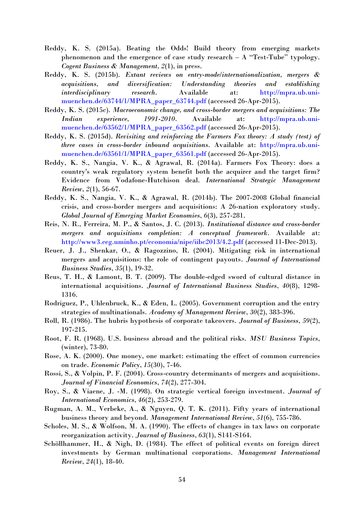- Reddy, K. S. (2015a). Beating the Odds! Build theory from emerging markets phenomenon and the emergence of case study research  $-$  A "Test-Tube" typology. *Cogent Business & Management*, *2*(1), in press.
- Reddy, K. S. (2015b). *Extant reviews on entry-mode/internationalization, mergers & acquisitions, and diversification: Understanding theories and establishing interdisciplinary research*. Available at: [http://mpra.ub.uni](http://mpra.ub.uni-muenchen.de/63744/1/MPRA_paper_63744.pdf)[muenchen.de/63744/1/MPRA\\_paper\\_63744.pdf](http://mpra.ub.uni-muenchen.de/63744/1/MPRA_paper_63744.pdf) (accessed 26-Apr-2015).
- Reddy, K. S. (2015c). *Macroeconomic change, and cross-border mergers and acquisitions: The Indian experience, 1991-2010*. Available at: [http://mpra.ub.uni](http://mpra.ub.uni-muenchen.de/63562/1/MPRA_paper_63562.pdf)[muenchen.de/63562/1/MPRA\\_paper\\_63562.pdf](http://mpra.ub.uni-muenchen.de/63562/1/MPRA_paper_63562.pdf) (accessed 26-Apr-2015).
- Reddy, K. S. (2015d). *Revisiting and reinforcing the Farmers Fox theory: A study (test) of three cases in cross-border inbound acquisitions*. Available at: [http://mpra.ub.uni](http://mpra.ub.uni-muenchen.de/63561/1/MPRA_paper_63561.pdf)[muenchen.de/63561/1/MPRA\\_paper\\_63561.pdf](http://mpra.ub.uni-muenchen.de/63561/1/MPRA_paper_63561.pdf) (accessed 26-Apr-2015).
- Reddy, K. S., Nangia, V. K., & Agrawal, R. (2014a). Farmers Fox Theory: does a country's weak regulatory system benefit both the acquirer and the target firm? Evidence from Vodafone-Hutchison deal. *International Strategic Management Review*, *2*(1), 56-67.
- Reddy, K. S., Nangia, V. K., & Agrawal, R. (2014b). The 2007-2008 Global financial crisis, and cross-border mergers and acquisitions: A 26-nation exploratory study. *Global Journal of Emerging Market Economies*, *6*(3), 257-281.
- Reis, N. R., Ferreira, M. P., & Santos, J. C. (2013). *Institutional distance and cross-border mergers and acquisitions completion: A conceptual framework*. Available at: <http://www3.eeg.uminho.pt/economia/nipe/iibc2013/4.2.pdf>(accessed 11-Dec-2013).
- Reuer, J. J., Shenkar, O., & Ragozzino, R. (2004). Mitigating risk in international mergers and acquisitions: the role of contingent payouts. *Journal of International Business Studies*, *35*(1), 19-32.
- Reus, T. H., & Lamont, B. T. (2009). The double-edged sword of cultural distance in international acquisitions. *Journal of International Business Studies*, *40*(8), 1298- 1316.
- Rodriguez, P., Uhlenbruck, K., & Eden, L. (2005). Government corruption and the entry strategies of multinationals. *Academy of Management Review*, *30*(2), 383-396.
- Roll, R. (1986). The hubris hypothesis of corporate takeovers. *Journal of Business*, *59*(2), 197-215.
- Root, F. R. (1968). U.S. business abroad and the political risks. *MSU Business Topics*, (winter), 73-80.
- Rose, A. K. (2000). One money, one market: estimating the effect of common currencies on trade. *Economic Policy*, *15*(30), 7-46.
- Rossi, S., & Volpin, P. F. (2004). Cross-country determinants of mergers and acquisitions. *Journal of Financial Economics*, *74*(2), 277-304.
- Roy, S., & Viaene, J. -M. (1998). On strategic vertical foreign investment. *Journal of International Economics*, *46*(2), 253-279.
- Rugman, A. M., Verbeke, A., & Nguyen, Q. T. K. (2011). Fifty years of international business theory and beyond. *Management International Review*, *51*(6), 755-786.
- Scholes, M. S., & Wolfson, M. A. (1990). The effects of changes in tax laws on corporate reorganization activity. *Journal of Business*, *63*(1), S141-S164.
- Schöllhammer, H., & Nigh, D. (1984). The effect of political events on foreign direct investments by German multinational corporations. *Management International Review*, *24*(1), 18-40.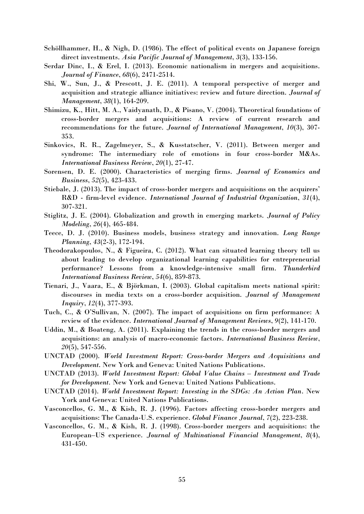- Schöllhammer, H., & Nigh, D. (1986). The effect of political events on Japanese foreign direct investments. *Asia Pacific Journal of Management*, *3*(3), 133-156.
- Serdar Dinc, I., & Erel, I. (2013). Economic nationalism in mergers and acquisitions. *Journal of Finance*, *68*(6), 2471-2514.
- Shi, W., Sun, J., & Prescott, J. E. (2011). A temporal perspective of merger and acquisition and strategic alliance initiatives: review and future direction. *Journal of Management*, *38*(1), 164-209.
- Shimizu, K., Hitt, M. A., Vaidyanath, D., & Pisano, V. (2004). Theoretical foundations of cross-border mergers and acquisitions: A review of current research and recommendations for the future. *Journal of International Management*, *10*(3), 307- 353.
- Sinkovics, R. R., Zagelmeyer, S., & Kusstatscher, V. (2011). Between merger and syndrome: The intermediary role of emotions in four cross-border M&As. *International Business Review*, *20*(1), 27-47.
- Sorensen, D. E. (2000). Characteristics of merging firms. *Journal of Economics and Business*, *52*(5), 423-433.
- Stiebale, J. (2013). The impact of cross-border mergers and acquisitions on the acquirers' R&D - firm-level evidence. *International Journal of Industrial Organization*, *31*(4), 307-321.
- Stiglitz, J. E. (2004). Globalization and growth in emerging markets. *Journal of Policy Modeling*, *26*(4), 465-484.
- Teece, D. J. (2010). Business models, business strategy and innovation. *Long Range Planning*, *43*(2-3), 172-194.
- Theodorakopoulos, N., & Figueira, C. (2012). What can situated learning theory tell us about leading to develop organizational learning capabilities for entrepreneurial performance? Lessons from a knowledge-intensive small firm. *Thunderbird International Business Review*, *54*(6), 859-873.
- Tienari, J., Vaara, E., & Björkman, I. (2003). Global capitalism meets national spirit: discourses in media texts on a cross-border acquisition. *Journal of Management Inquiry*, *12*(4), 377-393.
- Tuch, C., & O'Sullivan, N. (2007). The impact of acquisitions on firm performance: A review of the evidence. *International Journal of Management Reviews*, *9*(2), 141-170.
- Uddin, M., & Boateng, A. (2011). Explaining the trends in the cross-border mergers and acquisitions: an analysis of macro-economic factors. *International Business Review*, *20*(5), 547-556.
- UNCTAD (2000). *World Investment Report: Cross-border Mergers and Acquisitions and Development*. New York and Geneva: United Nations Publications.
- UNCTAD (2013). *World Investment Report: Global Value Chains – Investment and Trade for Development.* New York and Geneva: United Nations Publications.
- UNCTAD (2014). *World Investment Report: Investing in the SDGs: An Action Plan*. New York and Geneva: United Nations Publications.
- Vasconcellos, G. M., & Kish, R. J. (1996). Factors affecting cross-border mergers and acquisitions: The Canada-U.S. experience. *Global Finance Journal*, *7*(2), 223-238.
- Vasconcellos, G. M., & Kish, R. J. (1998). Cross-border mergers and acquisitions: the European–US experience. *Journal of Multinational Financial Management*, *8*(4), 431-450.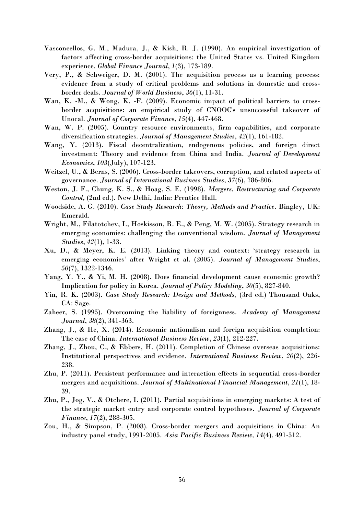- Vasconcellos, G. M., Madura, J., & Kish, R. J. (1990). An empirical investigation of factors affecting cross-border acquisitions: the United States vs. United Kingdom experience. *Global Finance Journal*, *1*(3), 173-189.
- Very, P., & Schweiger, D. M. (2001). The acquisition process as a learning process: evidence from a study of critical problems and solutions in domestic and crossborder deals. *Journal of World Business*, *36*(1), 11-31.
- Wan, K. -M., & Wong, K. -F. (2009). Economic impact of political barriers to crossborder acquisitions: an empirical study of CNOOC's unsuccessful takeover of Unocal. *Journal of Corporate Finance*, *15*(4), 447-468.
- Wan, W. P. (2005). Country resource environments, firm capabilities, and corporate diversification strategies. *Journal of Management Studies*, *42*(1), 161-182.
- Wang, Y. (2013). Fiscal decentralization, endogenous policies, and foreign direct investment: Theory and evidence from China and India. *Journal of Development Economics*, *103*(July), 107-123.
- Weitzel, U., & Berns, S. (2006). Cross-border takeovers, corruption, and related aspects of governance. *Journal of International Business Studies*, *37*(6), 786-806.
- Weston, J. F., Chung, K. S., & Hoag, S. E. (1998). *Mergers, Restructuring and Corporate Control,* (2nd ed.). New Delhi, India: Prentice Hall.
- Woodside, A. G. (2010). *Case Study Research: Theory, Methods and Practice*. Bingley, UK: Emerald.
- Wright, M., Filatotchev, I., Hoskisson, R. E., & Peng, M. W. (2005). Strategy research in emerging economies: challenging the conventional wisdom. *Journal of Management Studies*, *42*(1), 1-33.
- Xu, D., & Meyer, K. E. (2013). Linking theory and context: 'strategy research in emerging economies' after Wright et al. (2005). *Journal of Management Studies*, *50*(7), 1322-1346.
- Yang, Y. Y., & Yi, M. H. (2008). Does financial development cause economic growth? Implication for policy in Korea. *Journal of Policy Modeling*, *30*(5), 827-840.
- Yin, R. K. (2003). *Case Study Research: Design and Methods,* (3rd ed.) Thousand Oaks, CA: Sage.
- Zaheer, S. (1995). Overcoming the liability of foreignness. *Academy of Management Journal*, *38*(2), 341-363.
- Zhang, J., & He, X. (2014). Economic nationalism and foreign acquisition completion: The case of China. *International Business Review*, *23*(1), 212-227.
- Zhang, J., Zhou, C., & Ebbers, H. (2011). Completion of Chinese overseas acquisitions: Institutional perspectives and evidence. *International Business Review*, *20*(2), 226- 238.
- Zhu, P. (2011). Persistent performance and interaction effects in sequential cross-border mergers and acquisitions. *Journal of Multinational Financial Management*, *21*(1), 18- 39.
- Zhu, P., Jog, V., & Otchere, I. (2011). Partial acquisitions in emerging markets: A test of the strategic market entry and corporate control hypotheses. *Journal of Corporate Finance*, *17*(2), 288-305.
- Zou, H., & Simpson, P. (2008). Cross-border mergers and acquisitions in China: An industry panel study, 1991-2005. *Asia Pacific Business Review*, *14*(4), 491-512.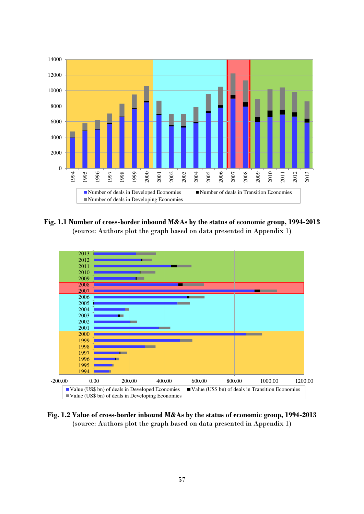

**Fig. 1.1 Number of cross-border inbound M&As by the status of economic group, 1994-2013**  (source: Authors plot the graph based on data presented in Appendix 1)



**Fig. 1.2 Value of cross-border inbound M&As by the status of economic group, 1994-2013**  (source: Authors plot the graph based on data presented in Appendix 1)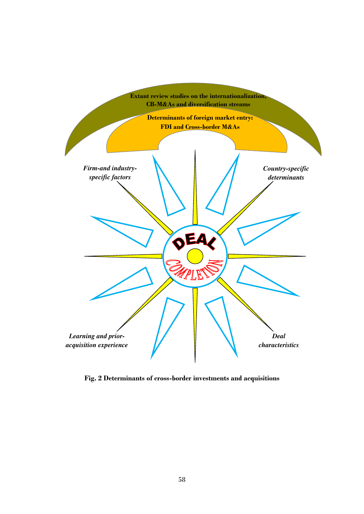

**Fig. 2 Determinants of cross-border investments and acquisitions**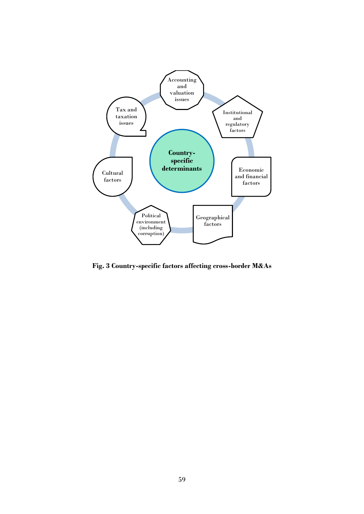

**Fig. 3 Country-specific factors affecting cross-border M&As**